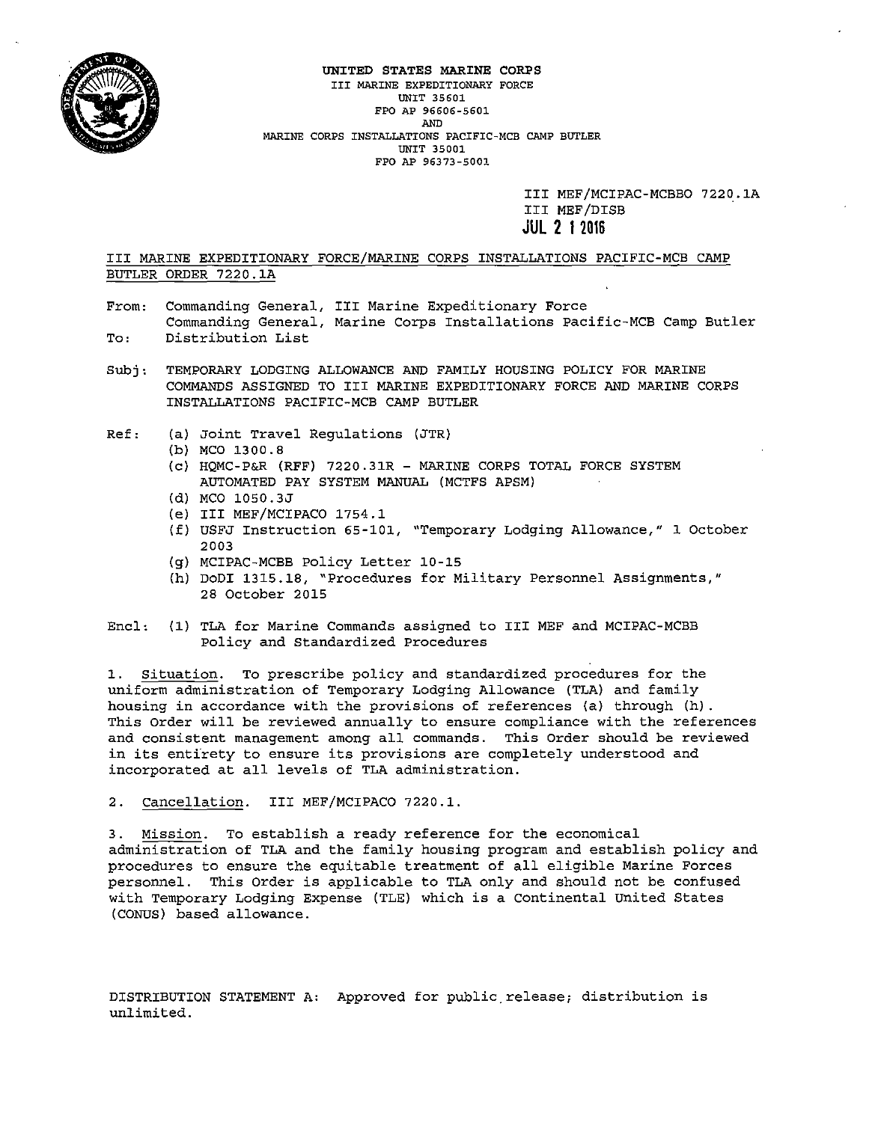

#### UNITED STATES MARINE CORPS **III MARINE EXPEDITIONARY FORCE UNIT 35601 FPO AP 96606-5601**  AND **MARINE CORPS INSTALLATIONS PACIFIC-MCB CAMP BUTLER UNIT 35001 FPO AP 96373-5001**

III MEF/MCIPAC-MCBBO 7220.lA III MEF /DISB **JUL 2 1 2016** 

III MARINE EXPEDITIONARY FORCE/MARINE CORPS INSTALLATIONS PACIFIC-MCB CAMP BUTLER ORDER 7220.lA

- **From: Commanding General, III Marine Expeditionary Force Commanding General, Marine Corps Installations Pacific-MCB Camp Butler**  To: Distribution List
- Subj: TEMPORARY LODGING ALLOWANCE AND FAMILY HOUSING POLICY FOR MARINE COMMANDS ASSIGNED TO III MARINE EXPEDITIONARY FORCE AND MARINE CORPS INSTALLATIONS PACIFIC-MCB CAMP BUTLER
- Ref: (a) Joint Travel Regulations (JTR)
	- (b) MCO 1300.8
	- (c) HQMC-P&R (RFF) 7220.31R MARINE CORPS TOTAL FORCE SYSTEM AUTOMATED PAY SYSTEM MANUAL (MCTFS APSM)
	- (d) MCO 1050.3J
	- (e) III MEF/MCIPACO 1754.1
	- (f) USFJ Instruction 65-101, "Temporary Lodging Allowance," 1 October 2003
	- (g) MCIPAC-MCBB Policy Letter 10-15
	- (h) DoDI 1315.18, "Procedures for Military Personnel Assignments," 28 October 2015
- Encl: (1) TLA for Marine Commands assigned to III MEF and MCIPAC-MCBB Policy and Standardized Procedures

**1. Situation. To prescribe policy and standardized procedures for the**  uniform administration of Temporary Lodging Allowance (TLA) and family housing in accordance with the provisions of references (a) through (h) . **This Order will be reviewed annually to ensure compliance with the references and consistent management among all commands. This Order should be reviewed in its entirety to ensure its provisions are completely understood and incorporated at all levels of TLA administration.** 

2. Cancellation. III MEF/MCIPACO 7220.1.

**3. Mission. To establish a ready reference for the economical**  administration of TLA and the family housing program and establish policy and procedures to ensure the equitable treatment of all eligible Marine Forces personnel. This Order is applicable to TLA only and should not be confused with Temporary Lodging Expense (TLE) which is a continental United States (CONUS) based allowance.

DISTRIBUTION STATEMENT A: Approved for public.release; distribution is **unlimited.**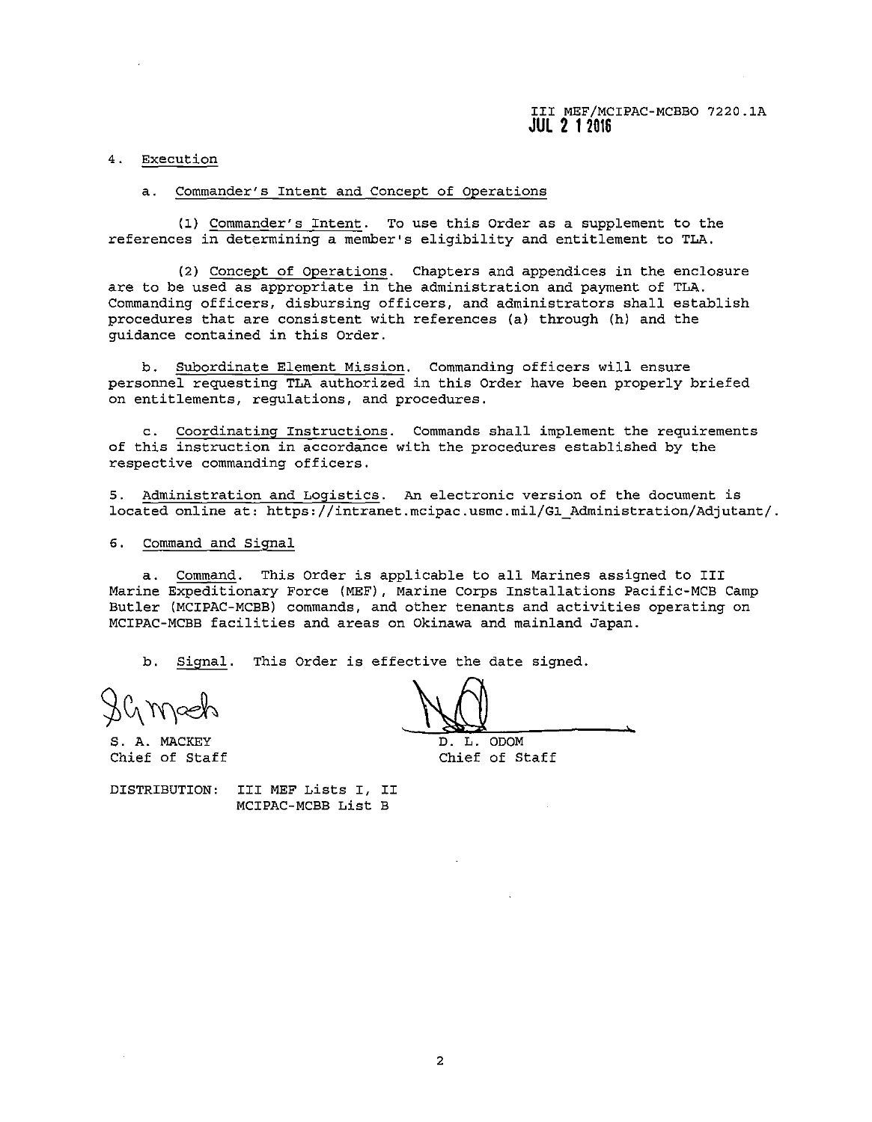#### **4. Execution**

## **a. Commander's Intent and Concept of Operations**

(1) Commander's Intent. To use this Order as a supplement to the **references in determining a member's eligibility and entitlement to TLA.** 

(2) Concept of Operations. Chapters and appendices in the enclosure **are to be used as appropriate in the administration and payment of TLA. Commanding officers, disbursing officers, and administrators shall establish**  procedures that are consistent with references (a) through (h) and the **guidance contained in this Order.** 

**b. Subordinate Element Mission. Commanding officers will ensure**  personnel requesting TLA authorized in this Order have been properly briefed **on entitlements, regulations, and procedures.** 

**c. Coordinating Instructions. Commands shall implement the requirements**  of this instruction in accordance with the procedures established by the **respective commanding officers.** 

**5. Administration and Logistics. An electronic version of the document is**  located online at: https://intranet.mcipac.usmc.mil/Gl\_Administration/Adjutant/.

# 6. Command and Signal

a. Command. This Order is applicable to all Marines assigned to III Marine Expeditionary Force (MEF), Marine Corps Installations Pacific-MCB Camp Butler (MCIPAC-MCBB) commands, and other tenants and activities operating on MCIPAC-MCBB facilities and areas on Okinawa and mainland Japan.

b. Signal. This Order is effective the date signed.

S. A. MACKEY<br>S. A. MACKEY  $\sim$   $\sim$   $\sim$   $\sim$ 

 $\overline{D}$ . L. ODOM Chief of Staff Chief of Staff

DISTRIBUTION: III MEF Lists I, II MCIPAC-MCBB List B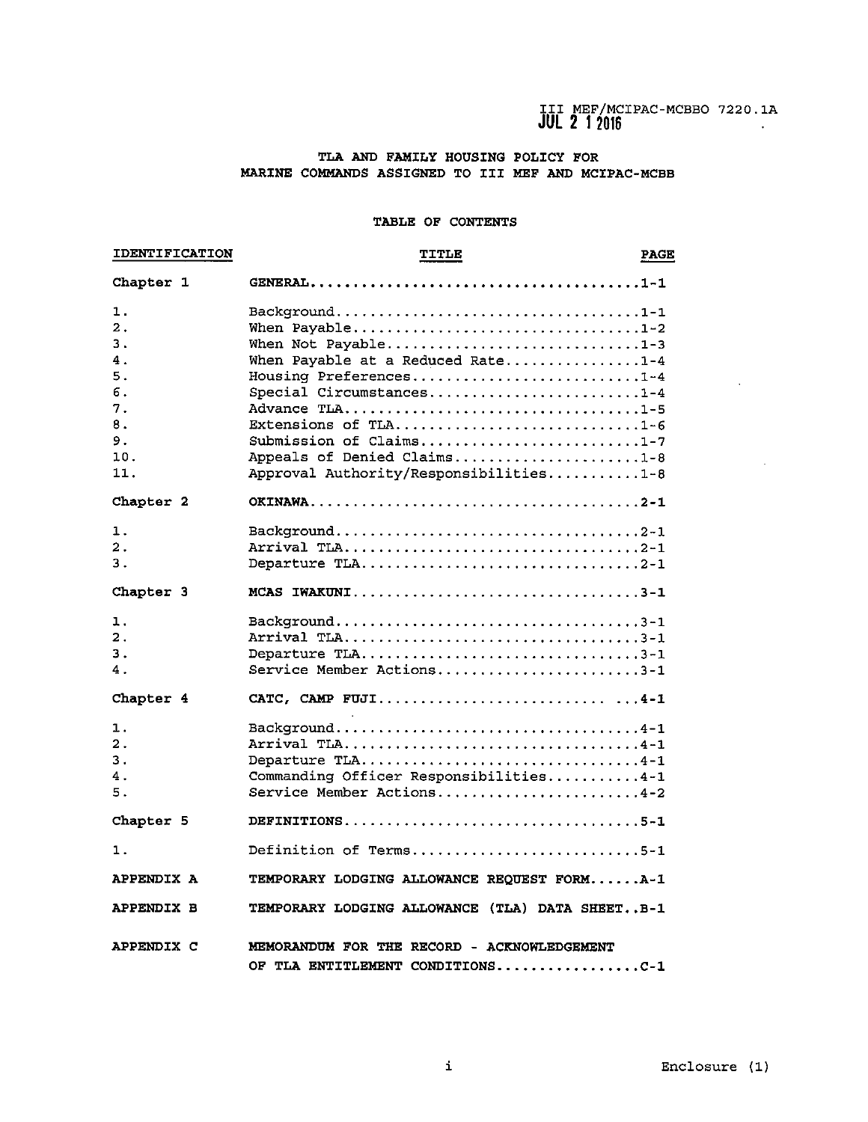$\mathcal{A}^{\mathcal{A}}$ 

 $\sim$ 

# TLA AND FAMILY HOUSING POLICY FOR MARINE COMMANDS ASSIGNED TO III MEF AND MCIPAC-MCBB

## TABLE OF CONTENTS

| <b>IDENTIFICATION</b>                                                                   | TITLE                                                                                                                                                                                                                                                                          | <b>PAGE</b> |
|-----------------------------------------------------------------------------------------|--------------------------------------------------------------------------------------------------------------------------------------------------------------------------------------------------------------------------------------------------------------------------------|-------------|
| Chapter 1                                                                               |                                                                                                                                                                                                                                                                                |             |
| ı.<br>$\mathbf{2}$ .<br>3.<br>$\mathbf 4$ .<br>5.<br>б.<br>7.<br>8.<br>9.<br>10.<br>11. | Background1-1<br>When Payable1-2<br>When Not Payable1-3<br>When Payable at a Reduced Rate1-4<br>Housing Preferences1-4<br>Special Circumstances1-4<br>Extensions of TLA1-6<br>Submission of Claims1-7<br>Appeals of Denied Claims1-8<br>Approval Authority/Responsibilities1-8 |             |
| Chapter 2                                                                               |                                                                                                                                                                                                                                                                                |             |
| 1.<br>2.<br>3.                                                                          | Departure TLA2-1                                                                                                                                                                                                                                                               |             |
| Chapter 3                                                                               | MCAS IWAKUNI3-1                                                                                                                                                                                                                                                                |             |
| ı.<br>$\overline{\mathbf{2}}$ .<br>3.<br>4.                                             | Background3-1<br>Departure TLA3-1<br>Service Member Actions3-1                                                                                                                                                                                                                 |             |
| Chapter 4                                                                               | CATC, CAMP FUJI4-1                                                                                                                                                                                                                                                             |             |
| 1.<br>2.<br>З.<br>4.<br>5.                                                              | Background4-1<br>Arrival TLA4-1<br>Departure TLA4-1<br>Commanding Officer Responsibilities4-1<br>Service Member Actions4-2                                                                                                                                                     |             |
| Chapter 5                                                                               | DEFINITIONS5-1                                                                                                                                                                                                                                                                 |             |
| 1.                                                                                      | Definition of Terms5-1                                                                                                                                                                                                                                                         |             |
| APPENDIX A                                                                              | TEMPORARY LODGING ALLOWANCE REQUEST FORMA-1                                                                                                                                                                                                                                    |             |
| <b>APPENDIX B</b>                                                                       | TEMPORARY LODGING ALLOWANCE (TLA) DATA SHEETB-1                                                                                                                                                                                                                                |             |
| APPENDIX C                                                                              | MEMORANDUM FOR THE RECORD - ACKNOWLEDGEMENT<br>OF TLA ENTITLEMENT CONDITIONSC-1                                                                                                                                                                                                |             |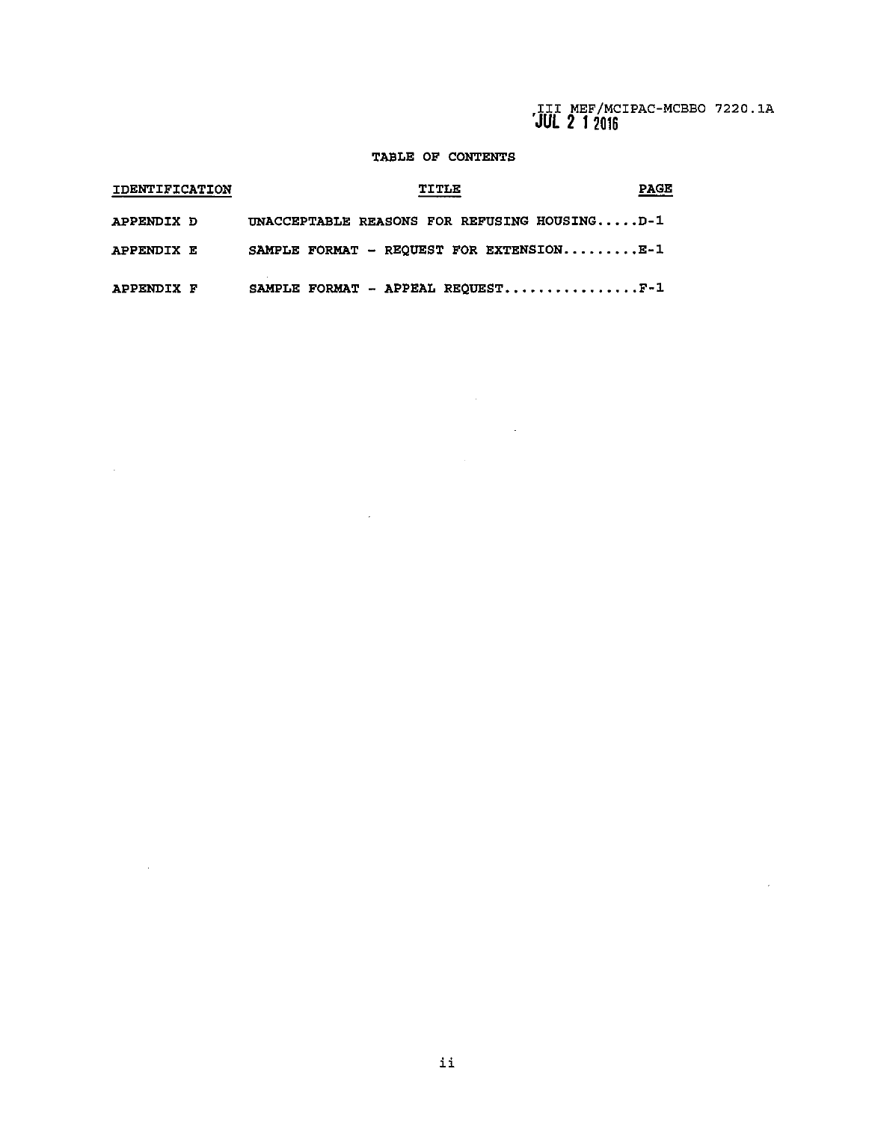$\sim 10^{11}$ 

# TABLE OF CONTENTS

 $\mathcal{L}^{\mathcal{L}}(\mathcal{L}^{\mathcal{L}})$  . The set of  $\mathcal{L}^{\mathcal{L}}(\mathcal{L}^{\mathcal{L}})$ 

 $\label{eq:2.1} \frac{1}{\sqrt{2}}\sum_{i=1}^n\frac{1}{\sqrt{2}}\sum_{i=1}^n\frac{1}{\sqrt{2}}\sum_{i=1}^n\frac{1}{\sqrt{2}}\sum_{i=1}^n\frac{1}{\sqrt{2}}\sum_{i=1}^n\frac{1}{\sqrt{2}}\sum_{i=1}^n\frac{1}{\sqrt{2}}\sum_{i=1}^n\frac{1}{\sqrt{2}}\sum_{i=1}^n\frac{1}{\sqrt{2}}\sum_{i=1}^n\frac{1}{\sqrt{2}}\sum_{i=1}^n\frac{1}{\sqrt{2}}\sum_{i=1}^n\frac$ 

| <b>IDENTIFICATION</b> | TITLE                                        | PAGE |
|-----------------------|----------------------------------------------|------|
| APPENDIX D            | UNACCEPTABLE REASONS FOR REFUSING HOUSINGD-1 |      |
| APPENDIX E            | SAMPLE FORMAT - REQUEST FOR EXTENSIONE-1     |      |
| APPENDIX F            | SAMPLE FORMAT - APPEAL REQUESTF-1            |      |

 $\sim 10^6$ 

 $\mathcal{L}^{\text{max}}_{\text{max}}$  and  $\mathcal{L}^{\text{max}}_{\text{max}}$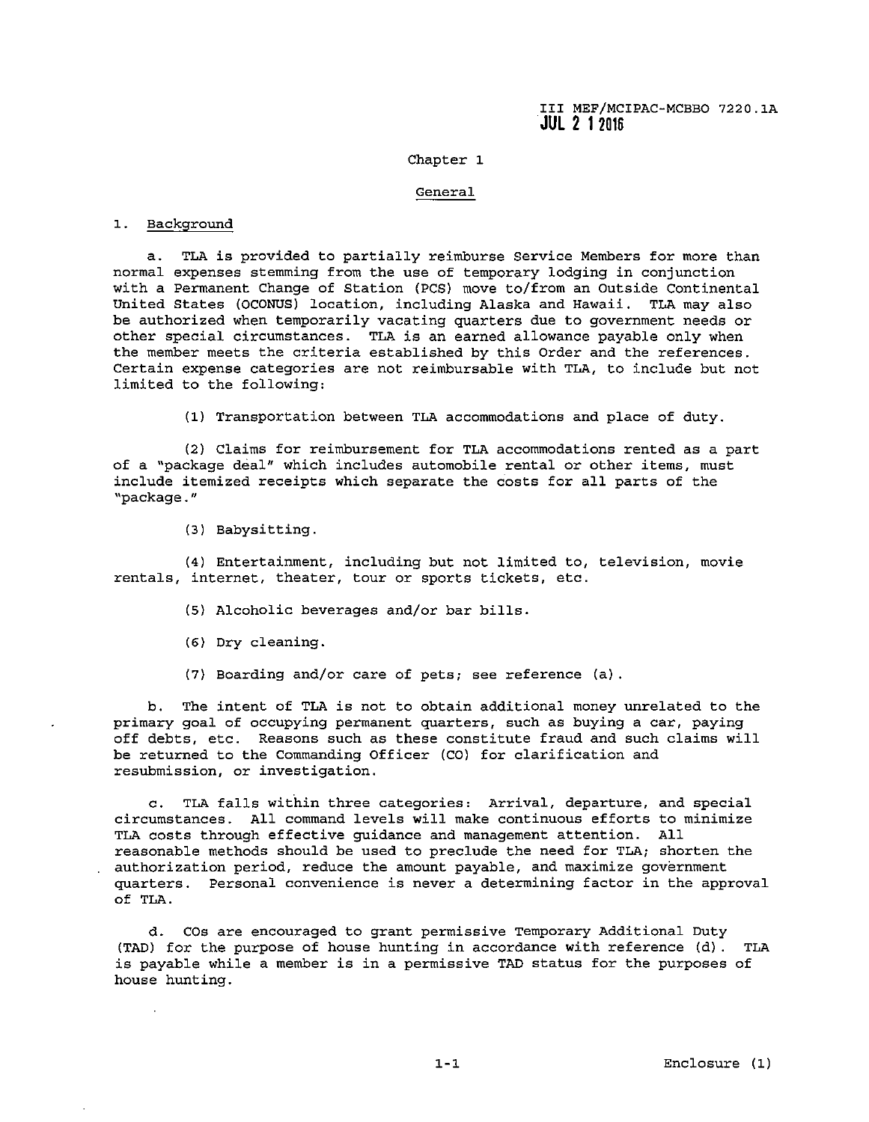# Chapter 1

#### **General**

# 1. Background

**a. TLA is provided to partially reimburse service Members for more than normal expenses stemming from the use of temporary lodging in conjunction**  with a Permanent Change of Station (PCS) move to/from an Outside Continental United States (OCONUS) location, including Alaska and Hawaii. TLA may also be authorized when temporarily vacating quarters due to government needs or other special circumstances. TLA is an earned allowance payable only when the member meets the criteria established by this Order and the references. **Certain expense categories are not reimbursable with TLA, to include but not**  limited to the following:

(1) Transportation between TLA accommodations and place of duty.

(2) Claims for reimbursement for TLA accommodations rented as a part **of a "package aeal" which includes automobile rental or other items, must**  include itemized receipts which separate the costs for all parts of the **'1 package.** "

(3) Babysitting.

**(4) Entertainment, including but not limited to, television, movie rentals, internet, theater, tour or sports tickets, etc.** 

- (5) Alcoholic beverages and/or bar bills.
- (6) Dry cleaning.
- (7) Boarding and/or care of pets; see reference (a).

b. The intent of TLA is not to obtain additional money unrelated to the **primary goal of occupying permanent quarters, such as buying a car, paying**  off debts, etc. Reasons such as these constitute fraud and such claims will be returned to the Commanding Officer (CO) for clarification and **resubmission, or investigation.** 

**c. TLA falls within three categories: Arrival, departure, and special circumstances. All command levels will make continuous efforts to minimize**  TLA costs through effective guidance and management attention. All reasonable methods should be used to preclude the need for TLA; shorten the **authorization period, reduce the amount payable, and maximize government quarters. Personal convenience is never a determining factor in the approval**  of TLA.

**d. cos are encouraged to grant permissive Temporary Additional Duty**  (TAD) for the purpose of house hunting in accordance with reference (d) . TLA is payable while a member is in a permissive TAD status for the purposes of house hunting.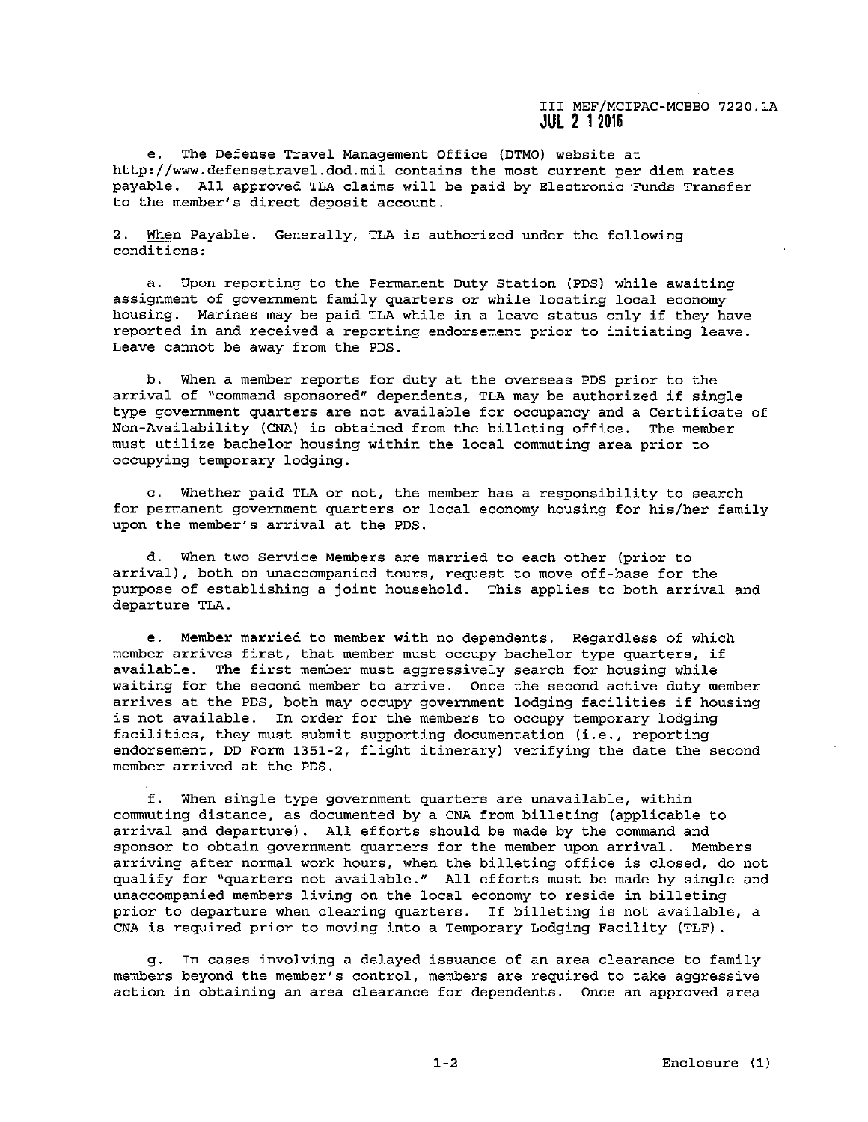e. The Defense Travel Management Office (DTMO) website at http://www.defensetravel.dod.mil contains the most current per diem rates payable. All approved TLA claims will be paid by Electronic Funds Transfer to the member's direct deposit account.

2. When Payable. Generally, TLA is authorized under the following conditions:

a. Upon reporting to the Permanent Duty Station (PDS) while awaiting assignment of government family quarters or while locating local economy housing. Marines may be paid TLA while in a leave status only if they have reported in and received a reporting endorsement prior to initiating leave. Leave cannot be away from the PDS.

b. When a member reports for duty at the overseas PDS prior to the arrival of ''command sponsored" dependents, TLA may be authorized if single type government quarters are not available for occupancy and a Certificate of Non-Availability (CNA) is obtained from the billeting office. The member must utilize bachelor housing within the local commuting area prior to occupying temporary lodging.

c. Whether paid TLA or not, the member has a responsibility to search for permanent government quarters or local economy housing for his/her family upon the member's arrival at the PDS.

d. When two Service Members are married to each other (prior to arrival), both on unaccompanied tours, request to move off-base for the purpose of establishing a joint household. This applies to both arrival and departure TLA.

e. Member married to member with no dependents. Regardless of which member arrives first, that member must occupy bachelor type quarters, if available. The first member must aggressively search for housing while waiting for the second member to arrive. Once the second active duty member arrives at the PDS, both may occupy government lodging facilities if housing is not available. In order for the members to occupy temporary lodging facilities, they must submit supporting documentation (i.e., reporting endorsement, DD Form 1351-2, flight itinerary) verifying the date the second member arrived at the PDS.

f. When single type government quarters are unavailable, within commuting distance, as documented by a CNA from billeting (applicable to arrival and departure). All efforts should be made by the command and sponsor to obtain government quarters for the member upon arrival. Members arriving after normal work hours, when the billeting office is closed, do not qualify for "quarters not available." All efforts must be made by single and unaccompanied members living on the local economy to reside in billeting prior to departure when clearing quarters. If billeting is not available, a CNA is required prior to moving into a Temporary Lodging Facility (TLF).

g. In cases involving a delayed issuance of an area clearance to family members beyond the member's control, members are required to take aggressive action in obtaining an area clearance for dependents. Once an approved area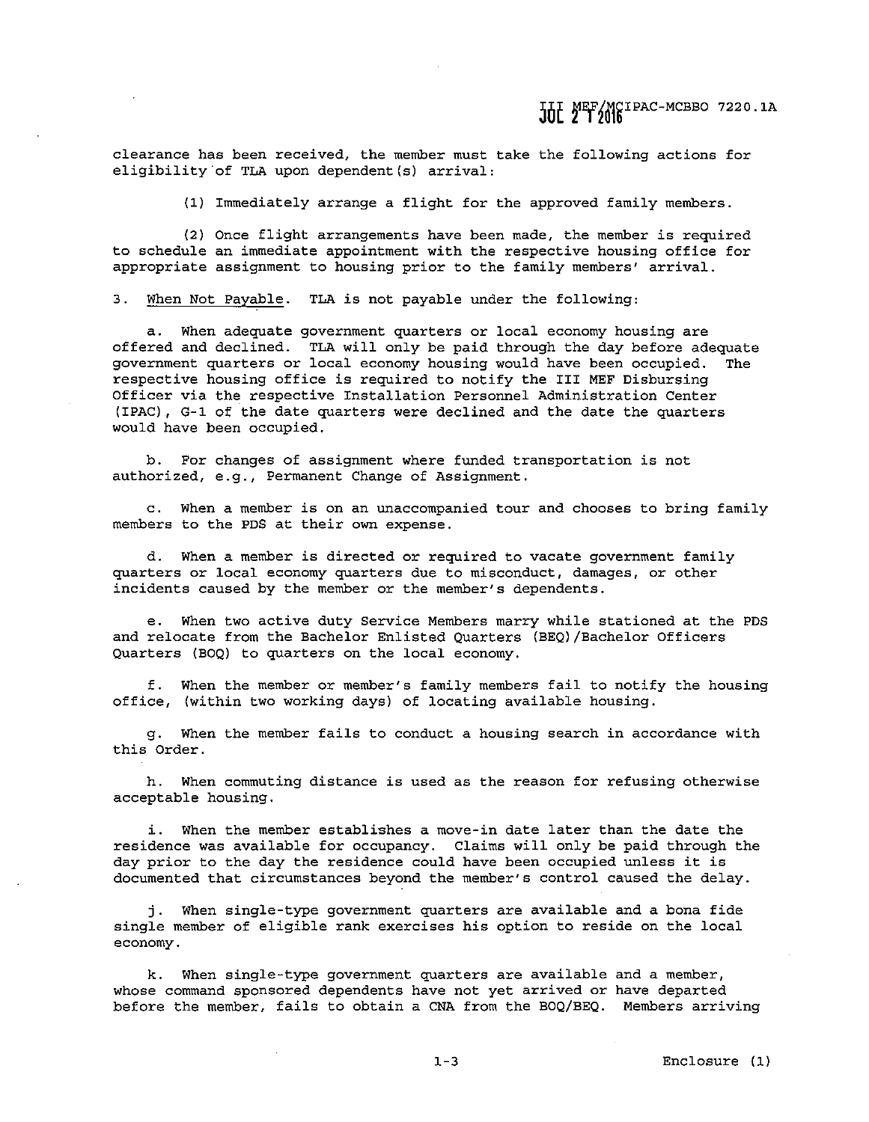JUL MEF/MCIPAC-MCBBO 7220.1A

**clearance has been received, the member must take the following actions for**  eligibility of TLA upon dependent(s) arrival:

(1) Immediately arrange a flight for the approved family members.

(2) Once flight arrangements have been made, the member is required to schedule an immediate appointment with the respective housing office for **appropriate assignment to housing prior to the family members' arrival.** 

3. When Not Payable. TLA is not payable under the following:

a. When adequate government quarters or local economy housing are offered and declined. TLA will only be paid through the day before adequate **government quarters or local economy housing would have been occupied. The**  respective housing office is required to notify the III MEF Disbursing **Officer via the respective Installation Personnel Administration Center**  (IPAC), G-1 of the date quarters were declined and the date the quarters would have been occupied.

**b. For changes of assignment where funded transportation is not authorized, e.g., Permanent Change of Assignment.** 

**c. When a member is on an unaccompanied tour and chooses to bring family**  members to the PDS at their own expense.

**d. When a member is directed or required to vacate government family quarters or local economy quarters due to misconduct, damages, or other incidents caused by the member or the member's dependents.** 

e. When two active duty Service Members marry while stationed at the PDS and relocate from the Bachelor Enlisted Quarters (BEQ)/Bachelor Officers Quarters (BOQ) to quarters on the local economy.

f. When the member or member's family members fail to notify the housing office, (within two working days) of locating available housing.

**g. When the member fails to conduct a housing search in accordance with**  this Order.

**h. When commuting distance is used as the reason for refusing otherwise**  acceptable housing.

i. When the member establishes a move-in date later than the date the residence was available for occupancy. Claims will only be paid through the day prior to the day the residence could have been occupied unless it is **documented that circumstances beyond the member's control caused the delay.** 

j. When single-type government quarters are available and a bona fide **single member of eligible rank exercises his option to reside on the local economy.** 

k. When single-type government quarters are available **and a member, whose command sponsored dependents have not yet arrived or**  have departed before the member, fails to obtain a CNA from the BOQ/BEQ. **Members arriving** 

 $1 - 3$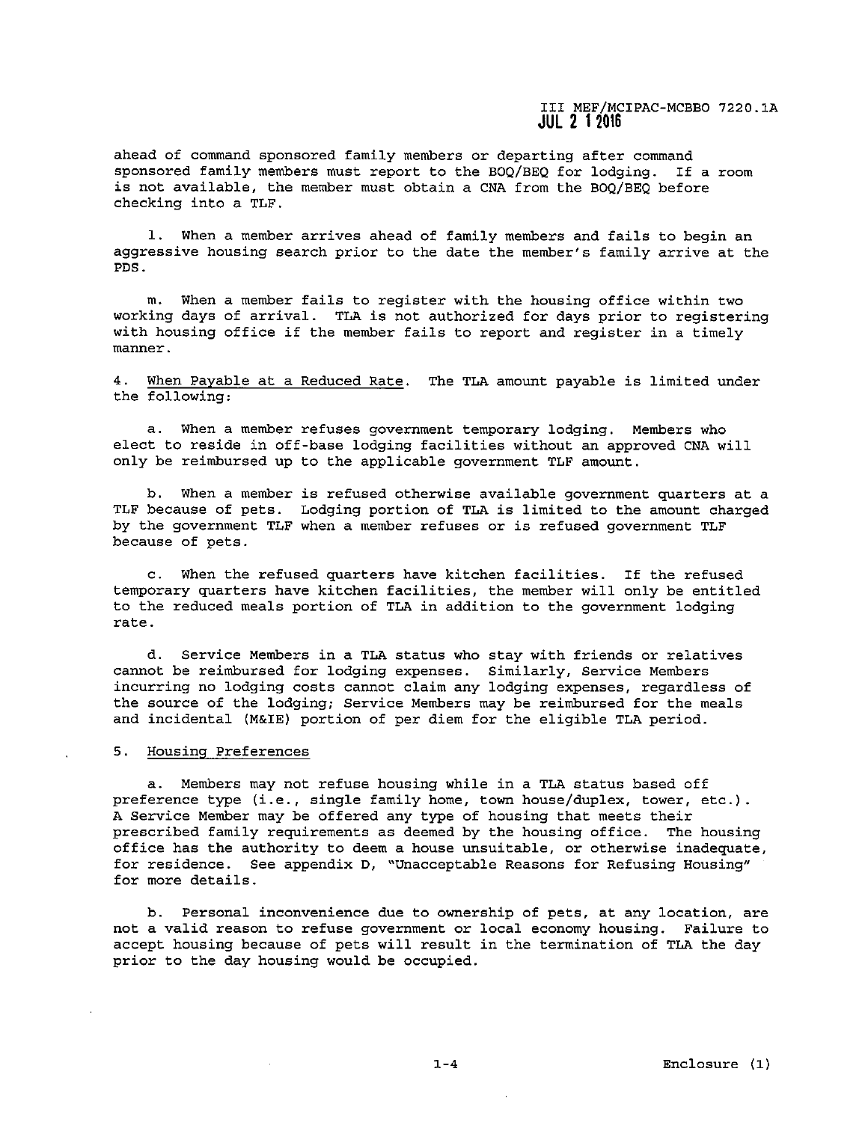**ahead of command sponsored family members or departing after command**  sponsored family members must report to the BOQ/BEQ for lodging. If a room is not available, the member must obtain a CNA from the BOQ/BEQ before checking into a TLF.

1. When a member arrives ahead of family members and fails to begin an **aggressive housing search prior to the date the member's family arrive at the**  PDS.

**m. When a member fails to register with the housing office within two**  working days of arrival. TLA is not authorized for days prior to registering with housing office if the member fails to report and register in a timely **manner.** 

4. When Payable at a Reduced Rate. The TLA amount payable is limited under the following:

**a. When a member refuses government temporary lodging. Members who**  elect to reside in off-base lodging facilities without an approved CNA will only be reimbursed up to the applicable government TLF amount.

b. When a member **is refused otherwise available government quarters at a**  TLF because of pets. Lodging portion of TLA is limited to the amount charged by the government TLF **when a member refuses or is refused government TLF because of pets.** 

c. When the refused quarters have kitchen facilities. If the refused temporary quarters have kitchen facilities, the member will only be entitled to the reduced meals portion of TLA in addition to the government lodging **rate.** 

**d. Service Members in a TLA status who stay with friends or relatives**  cannot be reimbursed for lodging expenses. Similarly, Service Members **incurring no lodging costs cannot claim any lodging expenses, regardless of**  the source of the lodging; Service Members may be reimbursed for the meals and incidental (M&IE) portion of per diem for the eligible TLA period.

### **5. Housing Preferences**

a. Members may not refuse housing while in a TLA status based off preference type (i.e., single family home, town house/duplex, tower, etc.). A Service Member may be offered any type of housing that meets their prescribed family requirements as deemed by the housing office. The housing **office has the authority to deem a house unsuitable, or otherwise inadequate, for residence. See appendix D, \\Unacceptable Reasons for Refusing Housing"**  for more details.

**b. Personal inconvenience due to ownership of pets, at any location, are not a valid reason to refuse government or local economy housing. Failure to**  accept housing because of pets will result in the termination of TLA the day prior to the day housing would be occupied.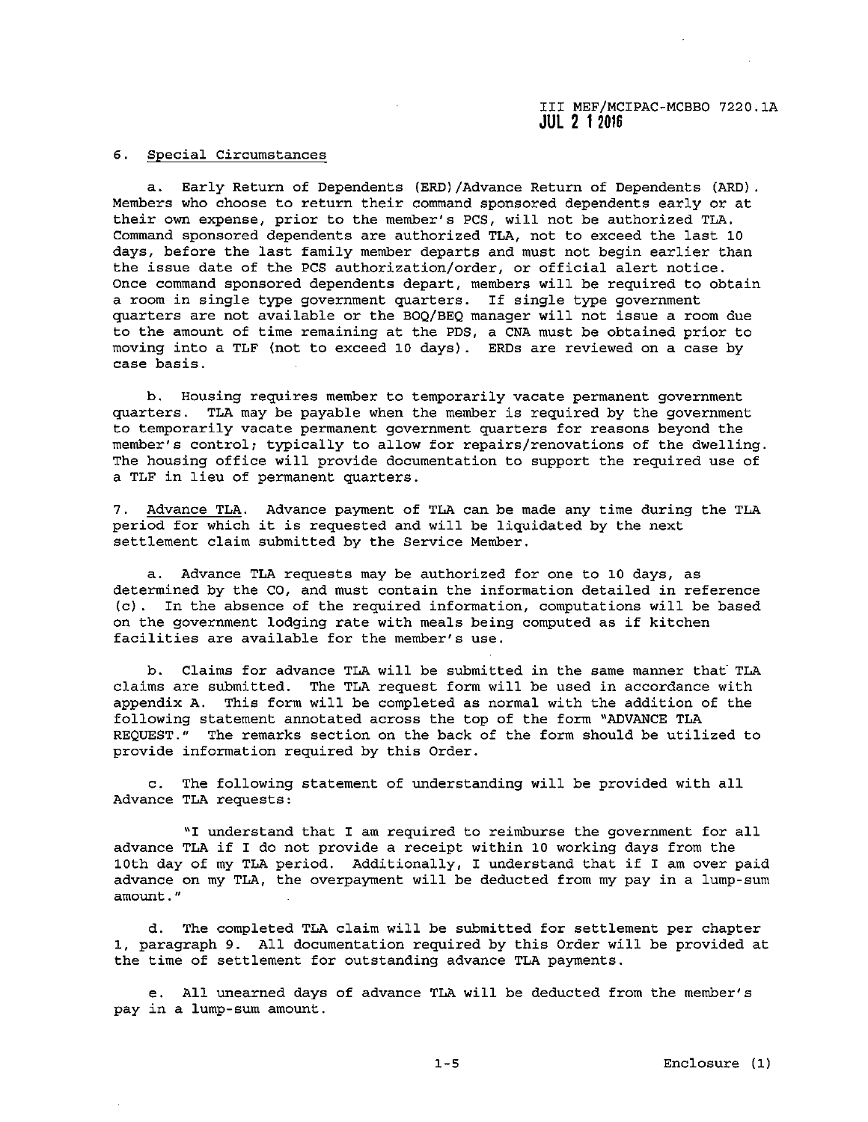## **6. Special Circumstances**

a. Early Return of Dependents (ERD)/Advance Return of Dependents (ARD). Members who choose to return their command sponsored dependents early or at **their own expense, prior to the member's PCS, will not be authorized TLA.**  Command sponsored dependents are authorized TLA, not to exceed the last 10 days, before the last family member departs and must not begin earlier than the issue date of the PCS authorization/order, or official alert notice. Once command sponsored dependents depart, members will be required to obtain a room in single type government quarters. If single type government quarters are not available or the BOQ/BEQ manager will not issue a room due to the amount of time remaining at the PDS, a CNA must be obtained prior to moving into a TLF (not to exceed 10 days) . ERDs are reviewed on a case by **case basis.** 

**b. Housing requires member to temporarily vacate permanent government**  quarters. TLA may be payable when the member is required by the government to temporarily vacate permanent government quarters for reasons beyond the **member's control; typically to allow for repairs/renovations of the dwelling.**  The housing office will provide documentation to support the required use of a TLF in lieu of permanent quarters.

7. Advance TLA. Advance payment of TLA can be made any time during the TLA period for which it is requested and will be liquidated by the next settlement claim submitted by the Service Member.

**a. Advance TLA requests may be authorized for one to 10 days, as determined by the CO, and must contain the information detailed in reference**  (c) . In the absence of the required information, computations will be based on the government lodging rate with meals being computed as if kitchen **facilities are available for the member's use.** 

b. Claims for advance TLA will be submitted in the same manner that· TLA claims are submitted. The TLA request form will be used in accordance with appendix A. This form will be completed as normal with the addition of the following statement annotated across the top of the form "ADVANCE TLA REQUEST." The remarks section on the back of the form should be utilized to **provide information required by this Order.** 

c. The following statement of understanding will be provided with all Advance TLA requests:

"I understand that I am required to reimburse the government for all advance TLA if I do not provide a receipt within 10 working days from the 10th day of my TLA period. Additionally, I understand that if I am over paid **advance on my TLA, the overpayment will be deducted from my pay in a lump-sum amount."** 

d. The completed TLA claim will be submitted for settlement per chapter 1, paragraph 9. All documentation required by this Order will be provided at the time of settlement for outstanding advance TLA payments.

**e. All unearned days of advance TLA will be deducted from the member's**  pay in a lump-sum amount.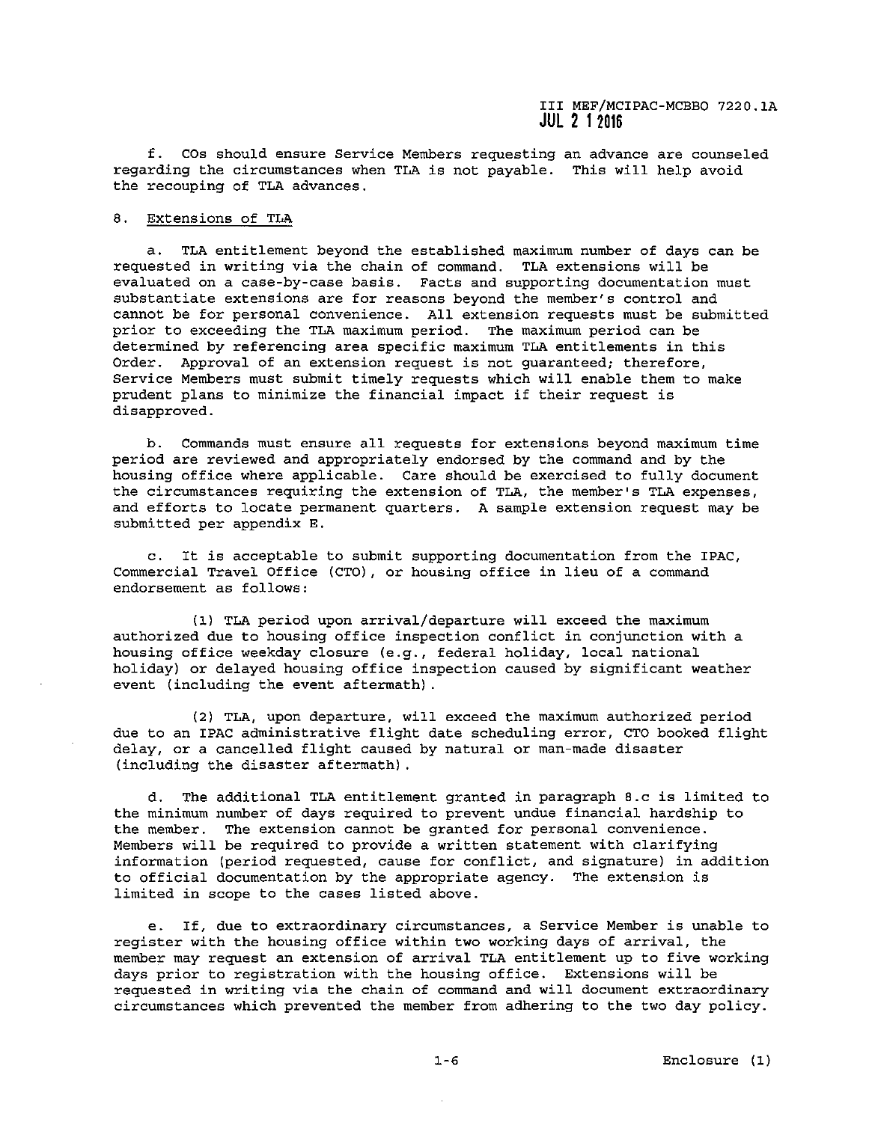f. cos should ensure Service Members requesting **an advance are counseled**  regarding the circumstances when TLA is not payable. This will help avoid the recouping of TLA advances.

# 8. Extensions of TLA

a. TLA entitlement beyond the established maximum number of days can be **requested in writing via the chain of command. TLA extensions will be evaluated on a case-by-case basis. Facts and supporting documentation must substantiate extensions are for reasons beyond the member's control and**  cannot be for personal convenience. All extension requests must be submitted **prior to exceeding the TLA maximum period. The maximum period can be determined by referencing area specific maximum TLA entitlements in this Order. Approval of an extension request is not guaranteed; therefore,**  Service Members must submit timely requests which will enable them to make prudent plans to minimize the financial impact if their request is disapproved.

**b. Commands must ensure all requests for extensions beyond maximum time**  period are reviewed and appropriately endorsed by the command and by the housing office where applicable. Care should be exercised to fully document **the circumstances requiring the extension of TLA, the member•s TLA expenses, and efforts to locate permanent quarters. A sample extension request may be**  submitted per appendix E.

c. It is acceptable to submit supporting documentation from the IPAC, Commercial Travel Office (CTO), or housing office in lieu of a command **endorsement as follows:** 

(1) TLA period upon arrival/departure will exceed the maximum **authorized due to housing office inspection conflict in conjunction with a**  housing office weekday closure (e.g., federal holiday, local national holiday) or delayed housing office inspection caused by significant weather event (including the event aftermath) .

**(2) TLA, upon departure, will exceed the maximum authorized period**  due to an IPAC administrative flight date scheduling error, CTO booked flight delay, or a cancelled flight caused by natural or man-made disaster (including the disaster aftermath) .

d. The additional TLA entitlement granted in paragraph 8.c is limited to the minimum number of days required to prevent undue financial hardship to **the member. The extension cannot be granted for personal convenience.**  Members will be required to provide a written statement with clarifying information (period requested, cause for conflict, and signature) in addition to official documentation by the appropriate agency. The extension is limited in scope to the cases listed above.

**e. If, due to extraordinary circumstances, a Service Member is unable to register with the housing office within two working days of arrival, the member may request an extension of arrival TLA entitlement up to five working**  days prior to registration with the housing office. Extensions will be **requested in writing via the chain of command and will document extraordinary**  circumstances which prevented the member from adhering to the two day policy.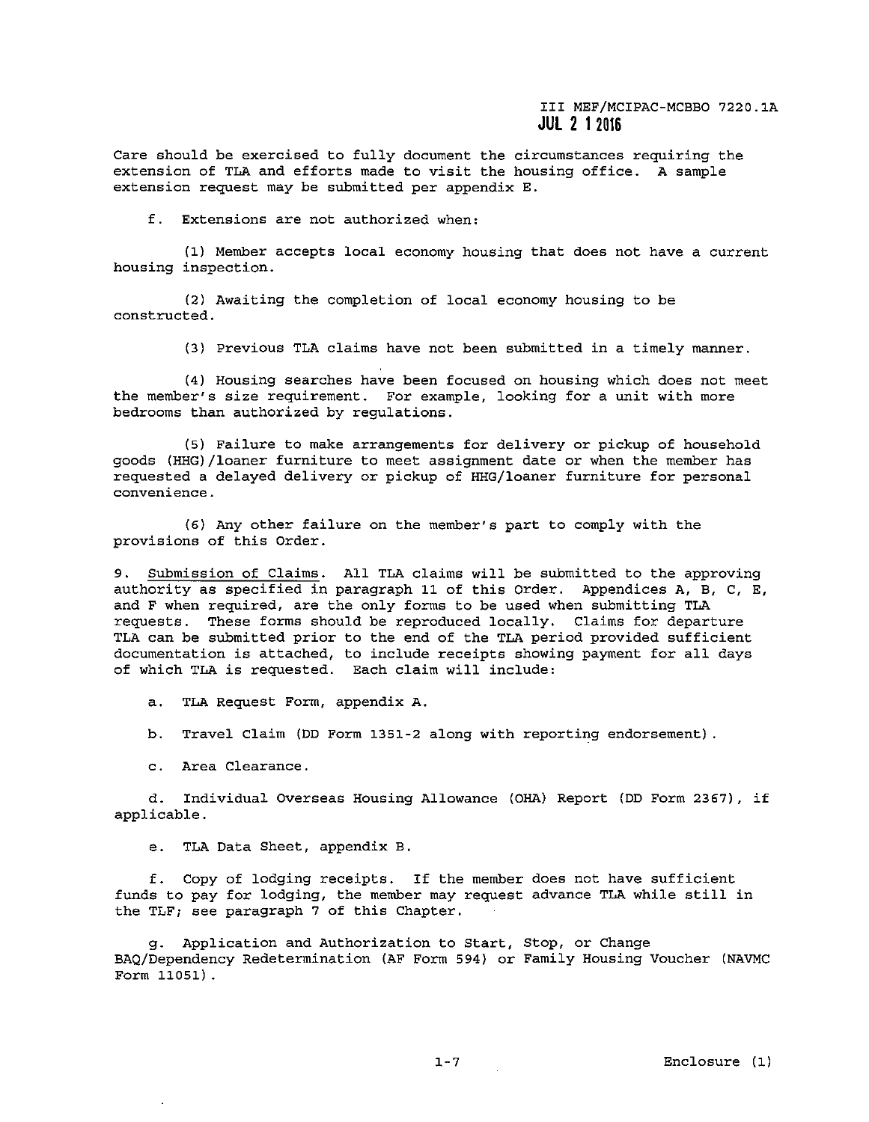**Care should be exercised to fully document the circumstances requiring the**  extension of TLA and efforts made to visit the housing office. A sample extension request may be submitted per appendix E.

**f. Extensions are not authorized when:** 

(1) Member accepts local economy housing that does not have a current **housing inspection.** 

(2) Awaiting the completion of local economy housing to be **constructed.** 

**(3) Previous TLA claims have not been submitted in a timely manner.** 

(4) Housing searches have been focused on housing which does not meet **the member's size requirement. For example, looking for a unit with more**  bedrooms than authorized by regulations.

(5) Failure to make arrangements for delivery or pickup of household goods (HHG)/loaner furniture to meet assignment date or when the member has requested a delayed delivery or pickup of HHG/loaner furniture for personal **convenience.** 

(6) Any other failure on the member's part to comply with the **provisions of this Order.** 

9. Submission of Claims. All TLA claims will be submitted to the approving authority as specified in paragraph 11 of this Order. Appendices A, B, C, E, and F when required, are the only forms to be used when submitting TLA requests. These forms should be reproduced locally. Claims for departure TLA can be submitted prior to the end of the TLA period provided sufficient documentation is attached, to include receipts showing payment for all days of which TLA is requested. Each claim will include:

a. TLA Request Form, appendix A.

b. Travel Claim (DD Form 1351-2 along with reporting endorsement).

**c. Area Clearance.** 

d. Individual Overseas Housing Allowance (OHA) Report (DD Form 2367), if applicable.

e. TLA Data Sheet, appendix B.

f. Copy of lodging receipts. If the member does not have sufficient funds to pay for lodging, the member may request advance TLA while still in the TLF; see paragraph 7 of this Chapter.

g. Application and Authorization to Start, Stop, or Change HAQ/Dependency Redetermination (AF Form 594) or Family Housing Voucher (NAVMC Form 11051) .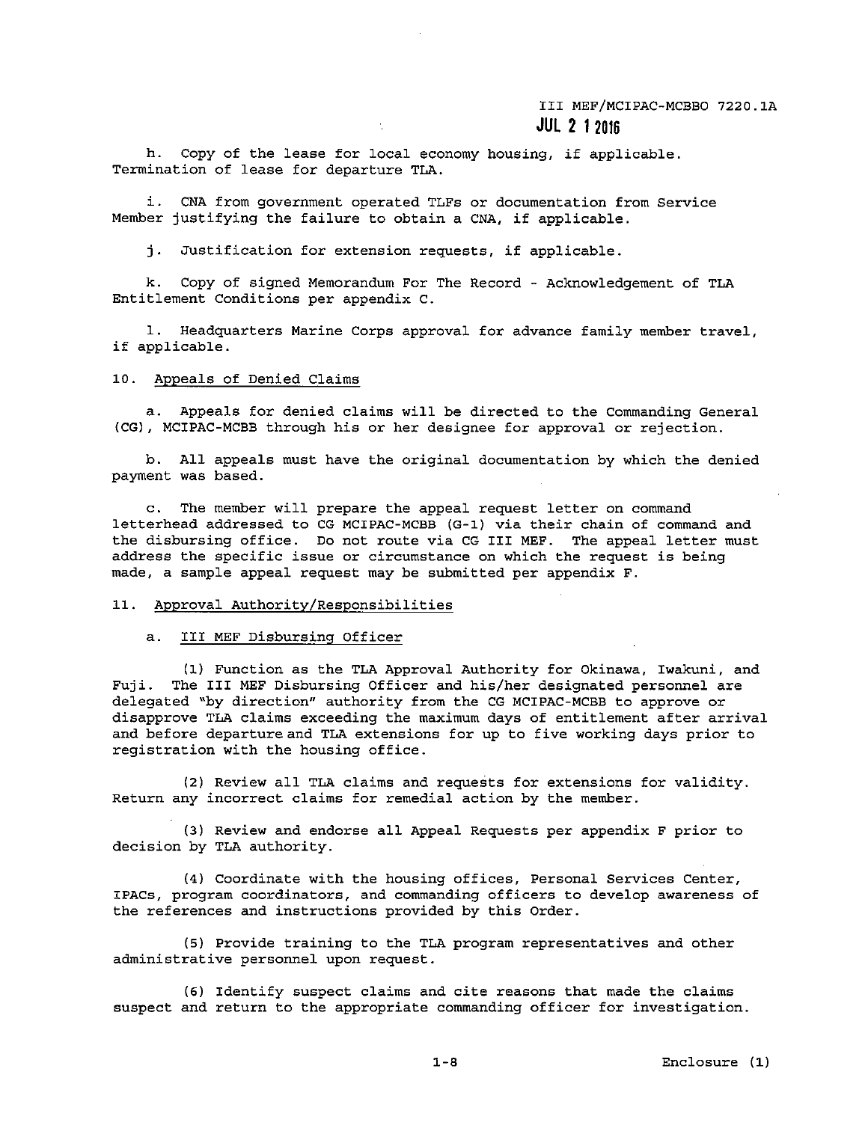h. Copy of the lease for local economy housing, if applicable. Termination of lease for departure TLA.

**i. CNA from government operated TLFs or documentation from Service**  Member justifying the failure to obtain a CNA, if applicable.

j. Justification for extension requests, if applicable.

k. Copy of signed Memorandum For The Record - Acknowledgement of TLA Entitlement Conditions per appendix C.

**1. Headquarters Marine Corps approval for advance family member travel,**  if applicable.

### 10. Appeals of Denied Claims

a. Appeals for denied claims will be directed to the Commanding General (CG), MCIPAC-MCBB through his or her designee for approval or rejection.

b. All appeals must have the original documentation by which the denied payment was based.

c. The member will prepare the appeal request letter on command letterhead addressed to CG MCIPAC-MCBB (G-1) via their chain of command and the disbursing office. Do not route via CG III MEF. The appeal letter must **address the specific issue or circumstance on which the request is being**  made, a sample appeal request may be submitted per appendix F.

# 11. Approval Authority/Responsibilities

#### a. III MEF Disbursing Officer

(1) Function as the TLA Approval Authority for Okinawa, Iwakuni, and Fuji. The III MEF Disbursing Officer and his/her designated personnel are delegated "by direction" authority from the CG MCIPAC-MCBB to approve or **disapprove TLA claims exceeding the maximum days of entitlement after arrival**  and before departure and TLA extensions for up to five working days prior to registration with the housing office.

(2) Review all TLA claims and requests for extensions for validity. Return any incorrect claims for remedial action by the member.

(3) Review and endorse all Appeal Requests per appendix F prior to decision by TLA authority.

**(4) Coordinate with the housing offices, Personal Services Center, IPACs, program coordinators, and commanding officers to develop awareness of the references and instructions provided by this Order.** 

**(5) Provide training to the TLA program representatives and other**  administrative personnel upon request.

(6) Identify suspect claims and cite reasons that made the claims **suspect and return to the appropriate commanding officer for investigation.**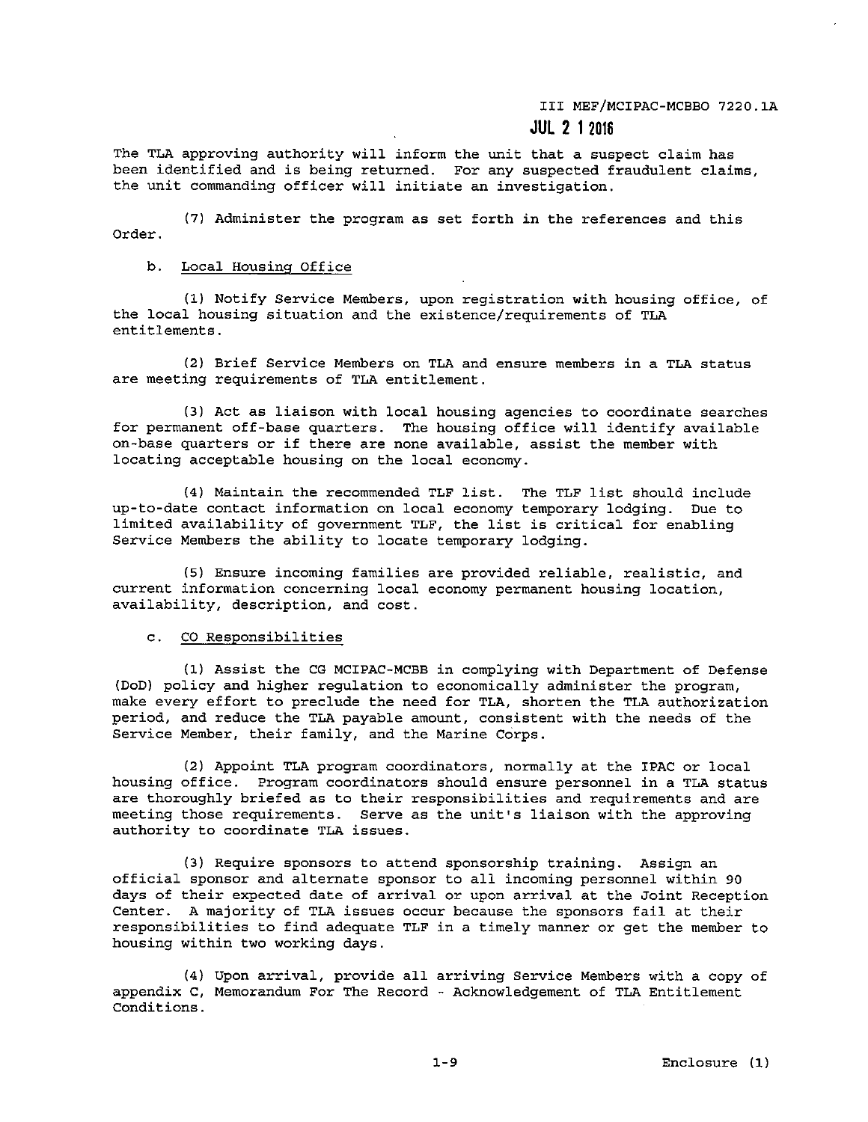# III MEF/MCIPAC-MCBBO 7220.lA

# **JUL 2 1 2016**

The TLA approving authority will inform the unit that a suspect claim has been identified and is being returned. For any suspected fraudulent claims, **the unit commanding officer will initiate an investigation.** 

(7) Administer the program as set forth in the references and this Order.

# b. Local Housing Office

(1) Notify Service Members, upon registration with housing office, of the local housing situation and the existence/requirements of TLA entitlements.

**(2) Brief Service Members on TLA and ensure members in a TLA status are meeting requirements of TLA entitlement.** 

(3) Act as liaison with local housing agencies to coordinate searches for permanent off-base quarters. The housing office will identify available **on-base quarters or if there are none available, assist the member with**  locating acceptable housing on the local economy.

(4) Maintain the recommended TLF list. The TLF list should include up-to-date contact information on local economy temporary lodging. Due to limited availability of government TLF, the list is critical for enabling Service Members the ability to locate temporary lodging.

**(5) Ensure incoming families are provided reliable, realistic, and current information concerning local economy permanent housing location, availability, description, and cost.** 

### c. CO Responsibilities

(1) Assist the CG MCIPAC-MCBB in complying with Department of Defense (DoD) policy and higher regulation to economically administer the program, make every effort to preclude the need for TLA, shorten the TLA authorization period, and reduce the TLA payable amount, consistent with the needs of the Service Member, their family, and the Marine Corps.

(2) Appoint TLA program coordinators, normally at the IPAC or local **housing office. Program coordinators should ensure personnel in a TLA status**  are thoroughly briefed as to their responsibilities and requirements and are **meeting those requirements. Serve as the unit's liaison with the approving authority to coordinate TLA issues.** 

(3) Require sponsors to attend sponsorship training. Assign an **official sponsor and alternate sponsor to all incoming personnel within 90 days of their expected date of arrival or upon arrival at the Joint Reception Center. A majority of TLA issues occur because the sponsors fail at their**  responsibilities to find adequate TLF in a timely manner or get the member to housing within two working days.

(4) Upon arrival, provide all arriving Service Members with a copy of appendix C, Memorandum For The Record - Acknowledgement of TLA Entitlement **Conditions.**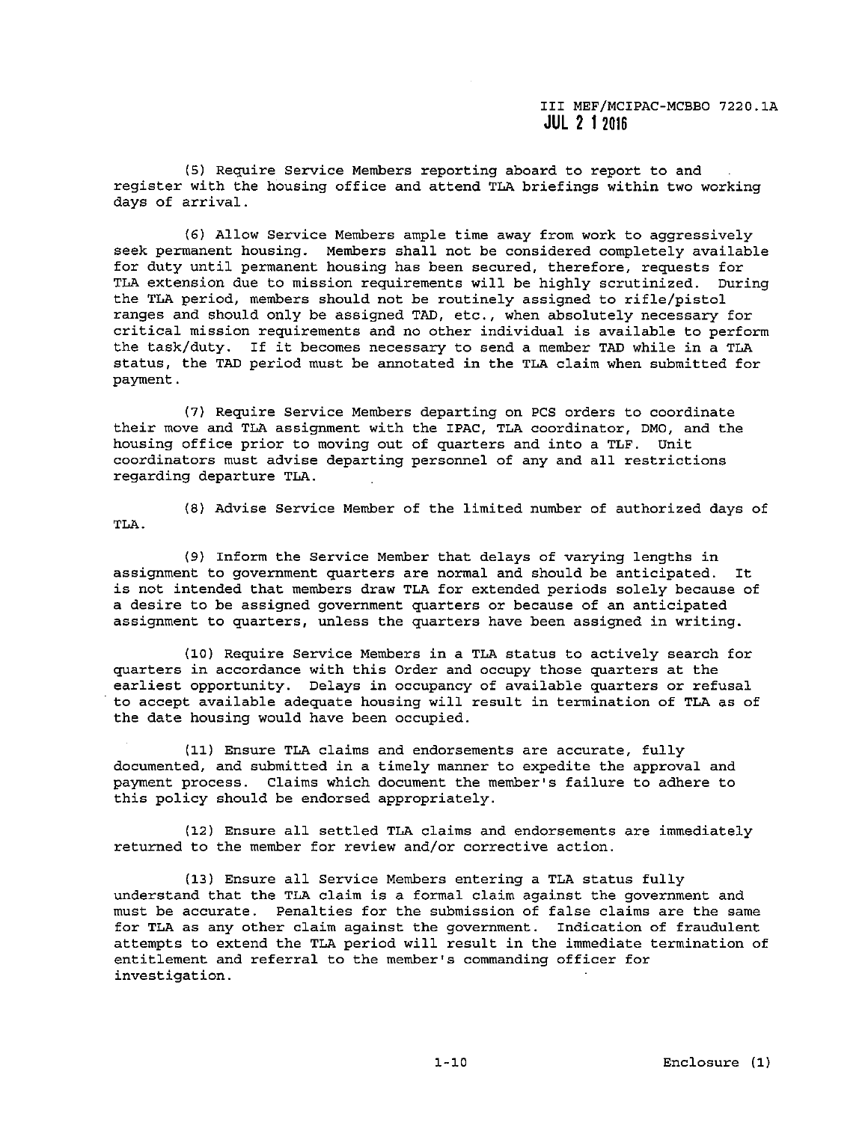(5) Require Service Members reporting aboard to report to and register with the housing office and attend TLA briefings within two working days of arrival.

(6) Allow Service Members ample time away from work to aggressively seek permanent housing. Members shall not be considered completely available for duty until permanent housing has been secured, therefore, requests for **TLA extension due to mission requirements will be highly scrutinized. During**  the TLA period, members should not be routinely assigned to rifle/pistol ranges and should only be assigned TAD, etc., when absolutely necessary for **critical mission requirements and no other individual is available to perform**  the task/duty. If it becomes necessary to send a member TAD while in a TLA status, the TAD period must be annotated in the TLA claim when submitted for payment.

(7) Require Service Members departing on PCS orders to coordinate **their move and TLA assignment with the IPAC, TLA coordinator, DMO, and the housing office prior to moving out of quarters and into a TLF. Unit coordinators must advise departing personnel of any and all restrictions**  regarding departure TLA.

TLA.

(8) Advise Service Member of the limited number of authorized days of

(9) Inform the Service Member that delays of varying lengths in **assignment to government quarters are normal and should be anticipated. It**  is not intended that members draw TLA for extended periods solely because of **a desire to be assigned government quarters or because of an anticipated assignment to quarters, unless the quarters have been assigned in writing.** 

(10) Require Service Members in a TLA status to actively search for quarters in accordance with this Order and occupy those quarters at the **earliest opportunity. Delays in occupancy of available quarters or refusal**  to accept available adequate housing will result in termination of TLA as of the date housing would have been occupied.

**(11) Ensure TLA claims and endorsements are accurate, fully**  documented, and submitted in a timely manner to expedite the approval and payment process. Claims which document the member's failure to adhere to this policy should be endorsed appropriately.

(12) Ensure all settled TLA claims and endorsements are immediately returned to the member for review and/or corrective action.

(13) Ensure all Service Members entering a TLA status fully understand that the TLA claim is a formal claim against the government and **must be accurate. Penalties for the submission of false claims are the same for TLA as any other claim against the government. Indication of fraudulent**  attempts to extend the TLA period will result in the immediate termination of **entitlement and referral to the member's commanding officer for investigation.**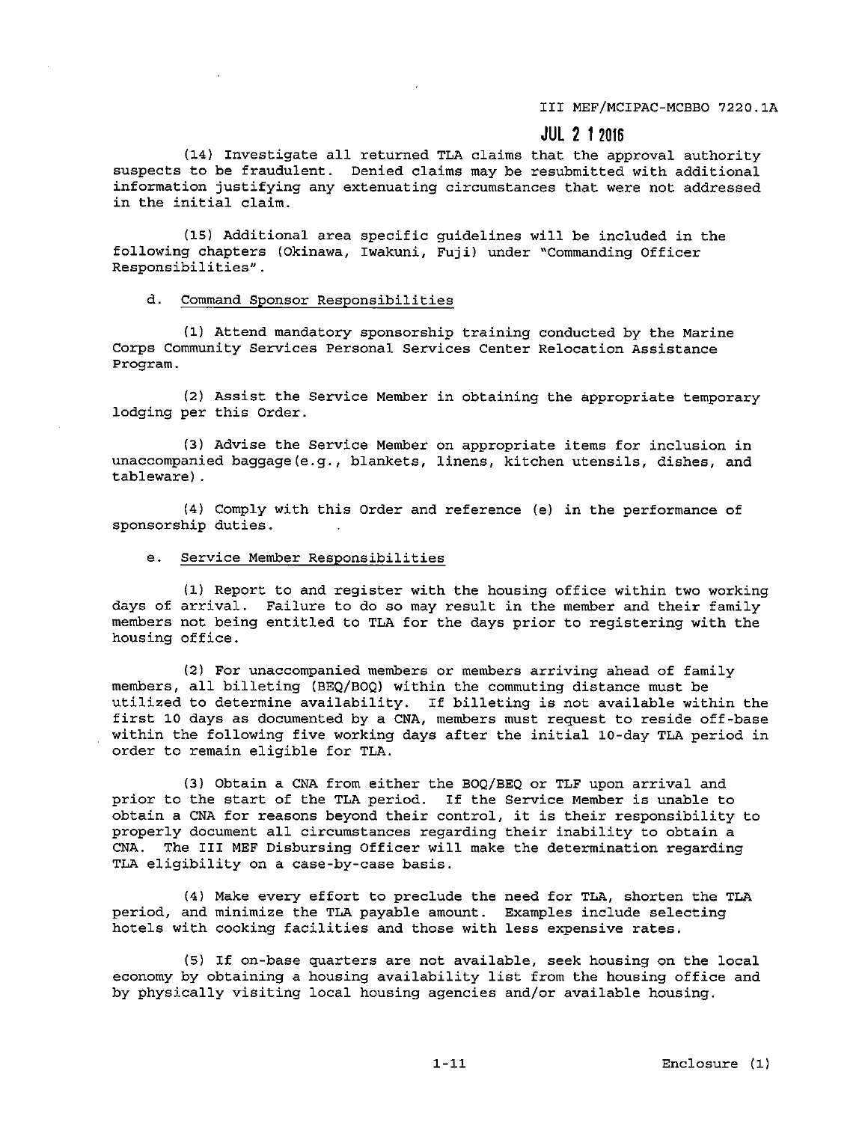III MEF/MCIPAC-MCBBO 7220.lA

# **JUL 2 1 2016**

(14) Investigate all returned TLA claims that the approval authority suspects to be fraudulent. Denied claims may be resubmitted with additional **information justifying any extenuating circumstances that were not addressed in the initial claim.** 

(15) Additional area specific guidelines will be included in the **following chapters (Okinawa, Iwakuni, Fuji) under "Commanding Officer Responsibilities".** 

#### **d. Command Sponsor Responsibilities**

(1) Attend mandatory sponsorship training conducted by the Marine **Corps Community Services Personal Services Center Relocation Assistance**  Program.

(2) Assist the Service Member in obtaining the appropriate temporary lodging per this Order.

**(3) Advise the Service Member on appropriate items for inclusion in unaccompanied baggage(e.g., blankets, linens, kitchen utensils, dishes, and**  tableware) .

(4) Comply with this Order and reference (e) in the performance of sponsorship duties.

## **e. Service Member Responsibilities**

(1) Report to and register with the housing office within two working days of arrival. Failure to do so may result in the member and their family members not being entitled to TLA for the days prior to registering with the housing office.

**(2) For unaccompanied members or members arriving ahead of family**  members, all billeting (BEQ/BOQ) within the commuting distance must be utilized to determine availability. If billeting is not available within the first 10 days as documented by a CNA, members must request to reside off-base within the following five working days after the initial 10-day TLA period in order to remain eligible for TLA.

(3) Obtain a CNA from either the BOQ/BEQ or TLF upon arrival and prior to the start of the TLA period. If the Service Member is unable to obtain a CNA for reasons beyond their control, it is their responsibility to properly document all circumstances regarding their inability to obtain a CNA. The III MEF Disbursing Officer will make the determination regarding TLA eligibility on a case-by-case basis.

(4) Make every effort to preclude the need for TLA, shorten the TLA **period, and minimize the TLA payable amount. Examples include selecting**  hotels with cooking facilities and those with less expensive rates.

(5) If on-base quarters are not available, seek housing on the local economy by obtaining a housing availability list from the housing office and by physically visiting local housing agencies and/or available housing.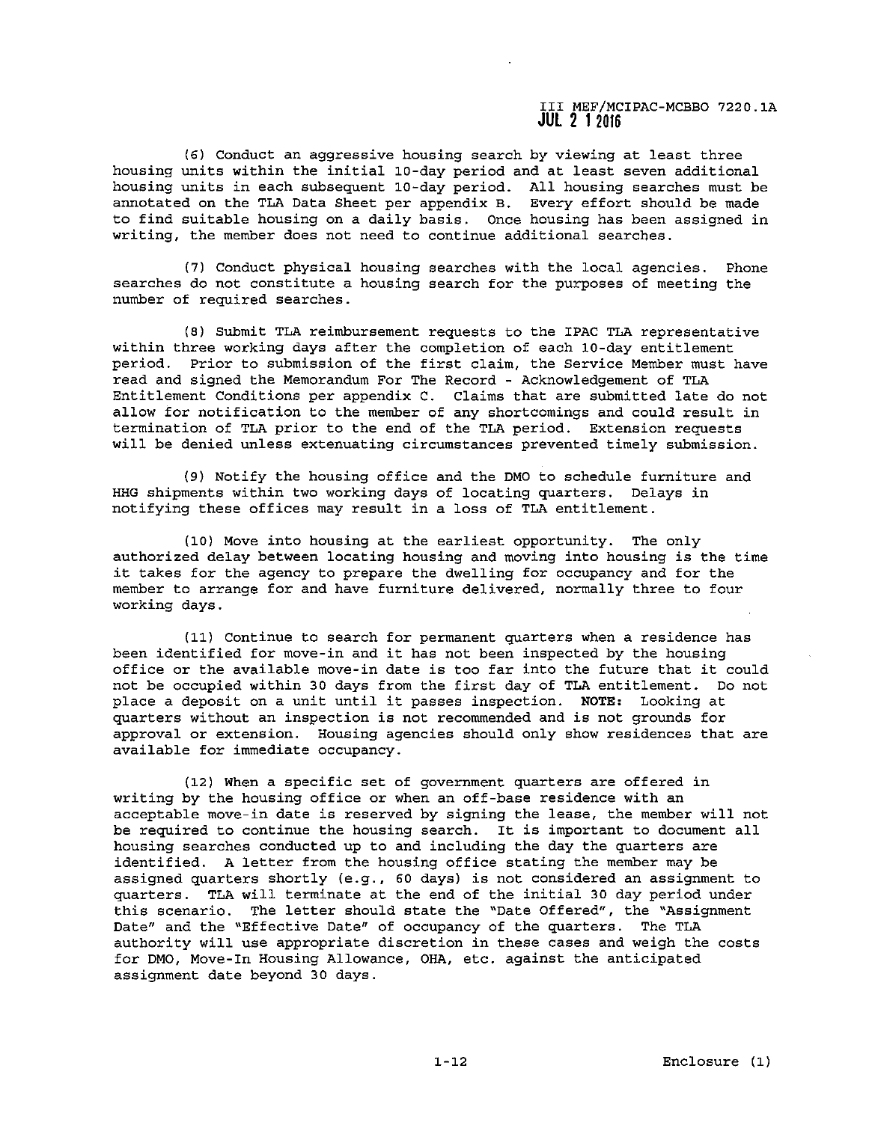(6) Conduct an aggressive housing search by viewing at least three housing units within the initial 10-day period and at least seven additional housing units in each subsequent 10-day period. All housing searches must be annotated on the TLA Data Sheet per appendix B. Every effort should be made to find suitable housing on a daily basis. Once housing has been assigned in **writing, the member does not need to continue additional searches.** 

(7) Conduct physical housing searches with the local agencies. Phone searches do not constitute a housing search for the purposes of meeting the number of required searches.

(8) Submit TLA reimbursement requests to the IPAC TLA representative within three working days after the completion of each 10-day entitlement period. Prior to submission of the first claim, the Service Member must have read and signed the Memorandum For The Record - Acknowledgement of TLA Entitlement Conditions per appendix C. Claims that are submitted late do not allow for notification to the member of any shortcomings and could result in termination of TLA prior to the end of the TLA period. Extension requests **will be denied unless extenuating circumstances prevented timely submission.** 

(9) Notify the housing office and the DMO to schedule furniture and HHG shipments within two working days of locating quarters. Delays in notifying these offices may result in a loss of TLA entitlement.

(10) Move into housing at the earliest opportunity. The only **authorized delay between locating housing and moving into housing is the time**  it takes for the agency to prepare the dwelling for occupancy and for the **member to arrange for and have furniture delivered, normally three to four**  working days.

**(11} Continue to search for permanent quarters when a residence has**  been identified for move-in and it has not been inspected by the housing office or the available move-in date is too far into the future that it could not be occupied within 30 days from the first day of TLA entitlement. Do not place a deposit on a unit until it passes inspection. NOTE: Looking at **quarters without an inspection is not recommended and is not grounds for approval or extension. Housing agencies should only show residences that are available for immediate occupancy.** 

(12) When a specific set of government quarters are offered in writing by the housing office or when an off-base residence with an **acceptable move-in date is reserved by signing the lease, the member will not**  be required to continue the housing search. It is important to document all housing searches conducted up to and including the day the quarters are identified. A letter from the housing office stating the member may be assigned quarters shortly (e.g., 60 days) is not considered an assignment to quarters. TLA will terminate at the end of the initial 30 day period under **this scenario. The letter should state the ''Date Offered", the "Assignment Date" and the ''Effective Date" of occupancy of the quarters. The TLA**  authority will use appropriate discretion in these cases and weigh the costs **for DMO, Move-In Housing Allowance, OHA, etc. against the anticipated**  assignment date beyond 30 days.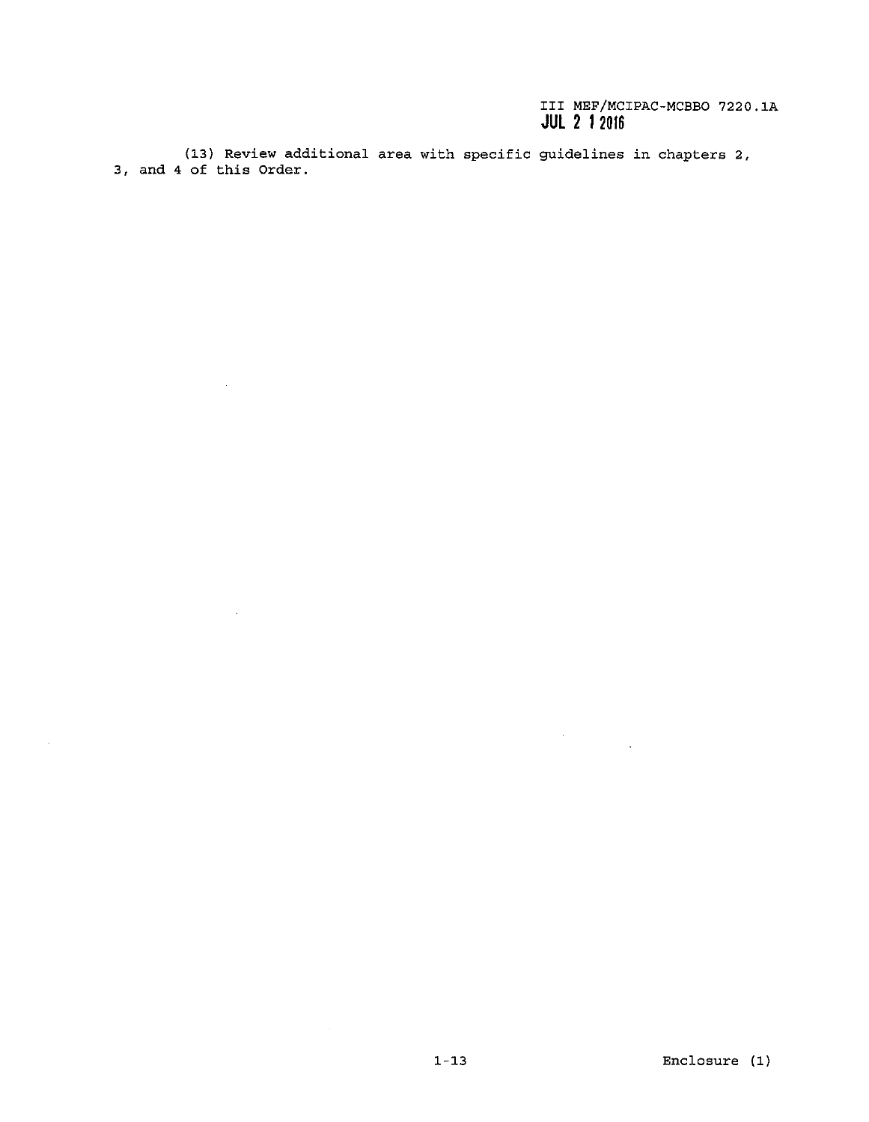$\label{eq:2.1} \frac{1}{\sqrt{2}}\int_{0}^{\infty}\frac{1}{\sqrt{2\pi}}\left(\frac{1}{\sqrt{2\pi}}\right)^{2}d\mu_{\rm{max}}\left(\frac{1}{\sqrt{2\pi}}\right).$ 

(13) Review additional area with specific guidelines in chapters 2, 3, and 4 of this Order.

 $\mathcal{A}$ 

 $\mathcal{L}_{\mathcal{A}}$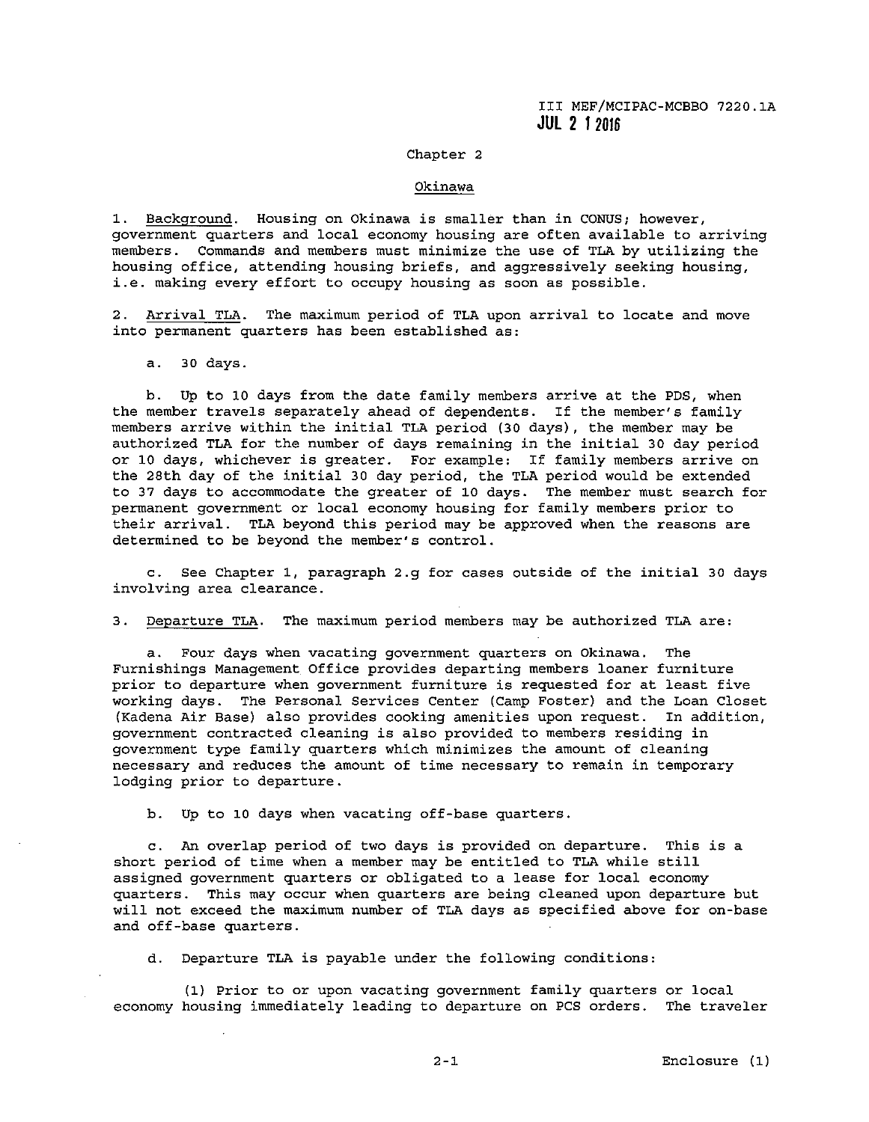### Chapter 2

#### **Okinawa**

**1. Background. Housing on Okinawa is smaller than in CONUS; however, government quarters and local economy housing are often available to arriving**  members. Commands and members must minimize the use of TLA by utilizing the **housing office, attending housing briefs, and aggressively seeking housing, i.e. making every effort to occupy housing as soon as possible.** 

**2. Arrival TLA. The maximum period of TLA upon arrival to locate and move**  into permanent quarters has been established as:

a. 30 days.

b. Up to 10 days from the date family members arrive at the PDS, when the member travels separately ahead of dependents. If the member's family members arrive within the initial TLA period (30 days), the member may be authorized TLA for the number of days remaining in the initial 30 day period **or 10 days, whichever is greater. For example: If family members arrive on**  the 28th day of the initial 30 day period, the TLA period would be extended to 37 days to accommodate the greater of 10 days. The member must search for **permanent government or local economy housing for family members prior to**  their arrival. TLA beyond this period may be approved when the reasons are determined to be beyond the member's control.

c. See Chapter 1, paragraph 2.g for cases outside of the initial 30 days **involving area clearance.** 

**3. Departure TLA. The maximum period members may be authorized TLA are:** 

**a. Four days when vacating government quarters on Okinawa. The Furnishings Management\_ Office provides departing members loaner furniture prior to departure when government furniture is requested for at least five**  working days. The Personal Services Center (Camp Foster) and the Loan Closet (Kadena Air Base) also provides cooking amenities upon request. In addition, **government contracted cleaning is also provided to members residing in government type family quarters which minimizes the amount of cleaning necessary and reduces the amount of time necessary to remain in temporary**  lodging prior to departure.

b. Up to 10 days when vacating off-base quarters.

**c. An overlap period of two days is provided on departure. This is a**  short period of time when a member may be entitled to TLA while still **assigned government quarters or obligated to a lease for local economy quarters. This may occur when quarters are being cleaned upon departure but will not exceed the maximum number of TLA days as specified above for on-base**  and off-base quarters.

d. Departure TLA is payable under the following conditions:

(1) Prior to or upon vacating government family quarters or local economy housing immediately leading to departure on PCS orders. The traveler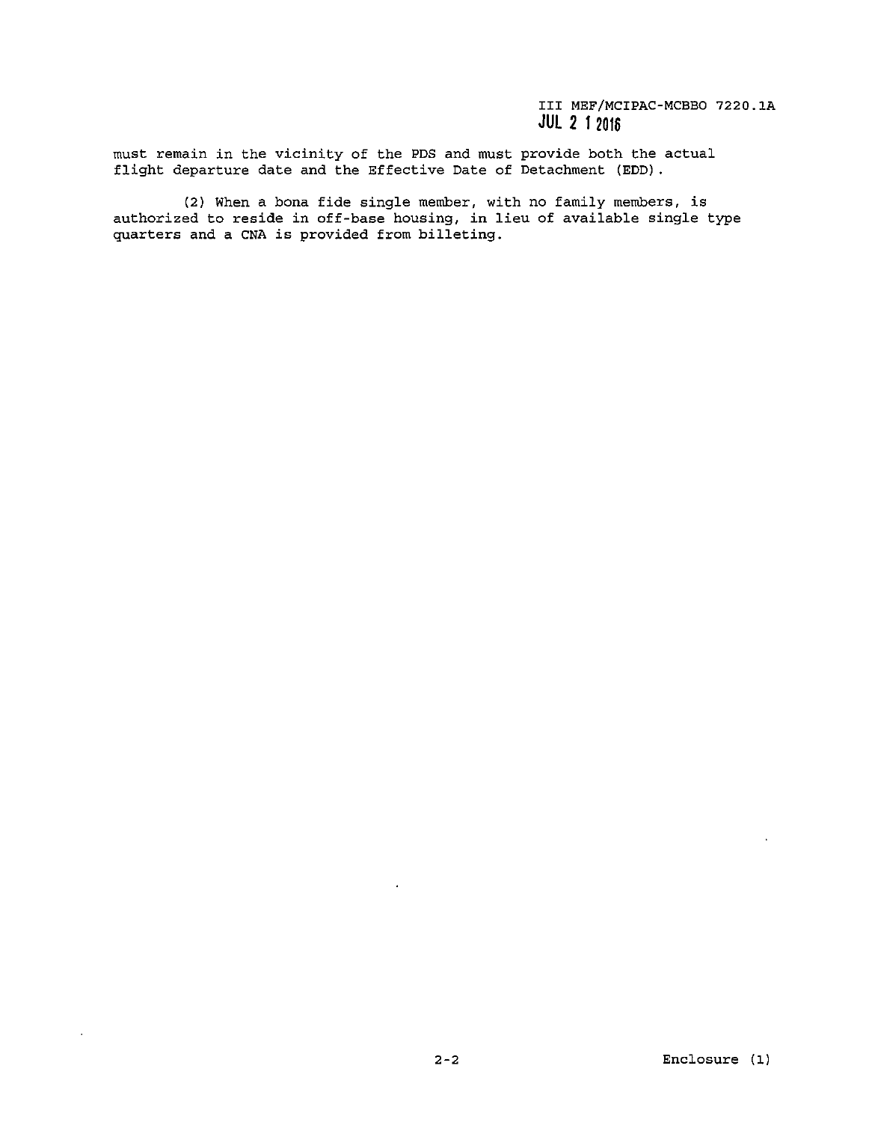must remain in the vicinity of the PDS and must provide both the actual flight departure date and the Effective Date of Detachment (EDD) .

(2) When a bona fide single member, with no family members, is authorized to reside in off-base housing, in lieu of available single type quarters and a CNA is provided from billeting.

 $\sim$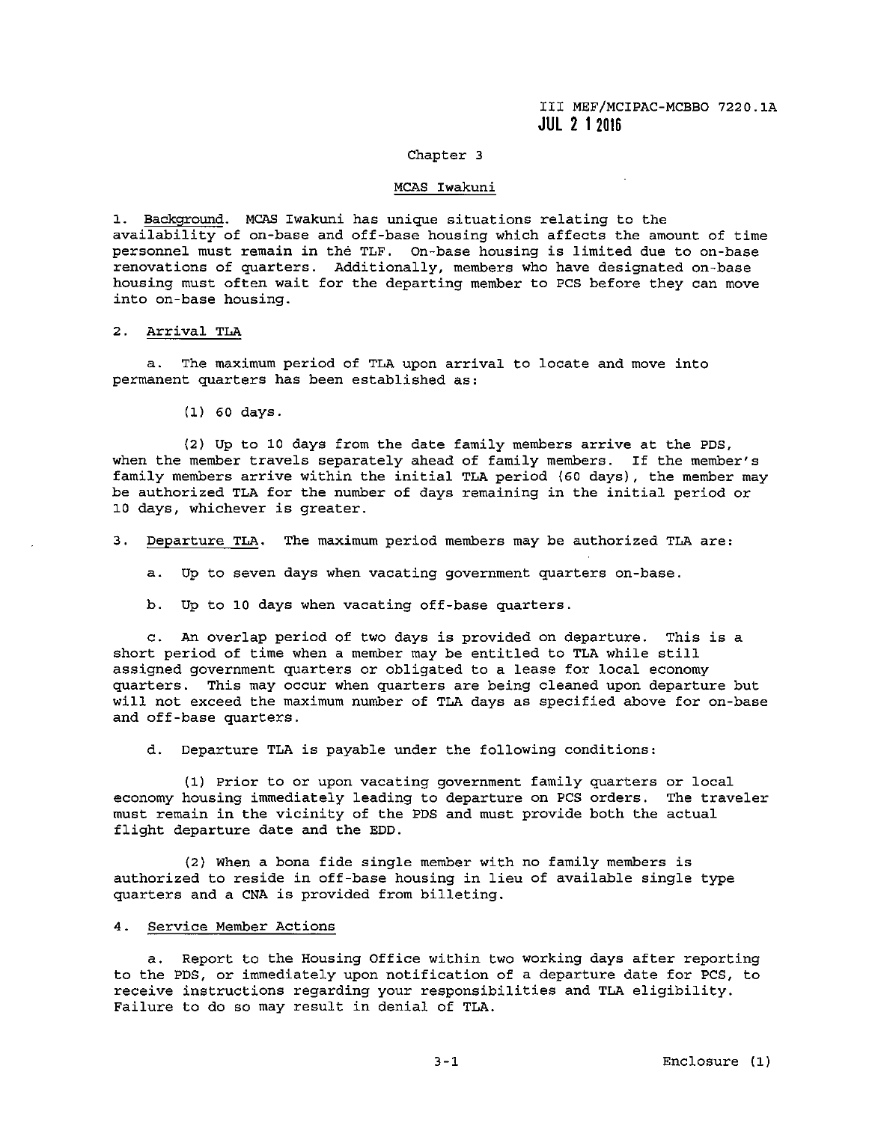# Chapter 3

#### MCAS Iwakuni

l. Backqround. MCAS Iwakuni has unique situations relating to the availability of on-base and off-base housing which affects the amount of time personnel must remain in the TLF. On-base housing is limited due to on-base **renovations of quarters. Additionally, members who have designated on-base**  housing must often wait for the departing member to PCS before they can move **into on-base housing.** 

### 2. Arrival TLA

**a. The maximum period of TLA upon arrival to locate and move into**  permanent quarters has been established as:

(1) 60 days.

(2) Up to 10 days from the date family members arrive at the PDS, when the member travels separately ahead of family members. If the member's family members arrive within the initial TLA period (60 days), the member may be authorized TLA for the number of days remaining in the initial period or 10 days, whichever is greater.

**3. Departure TLA. The maximum period members may be authorized TLA are:** 

**a. Up to seven days when vacating government quarters on-base.** 

b. Up to 10 days when vacating off-base quarters.

c. An overlap period of two days is provided on departure. This is a short period of time when a member may be entitled to TLA while still assigned government quarters or obligated to a lease for local economy quarters. This may occur when quarters are being cleaned upon departure but will not exceed the maximum number of TLA days as specified above for on-base and off-base quarters.

d. Departure TLA is payable under the following conditions:

(1) Prior to or upon vacating government family quarters **or local**  economy housing immediately leading to departure on PCS orders. The traveler must remain in the vicinity of the PDS and must provide both the actual flight departure date and the EDD.

(2) When a bona fide single member with no family members is authorized to reside in off-base housing in lieu of available single type quarters and a CNA is provided from billeting.

## **4. Service Member Actions**

a. Report to the Housing Office within two working days after reporting to the PDS, or immediately upon notification of a departure date for PCS, to receive instructions regarding your responsibilities and TLA eligibility. Failure to do so may result in denial of TLA.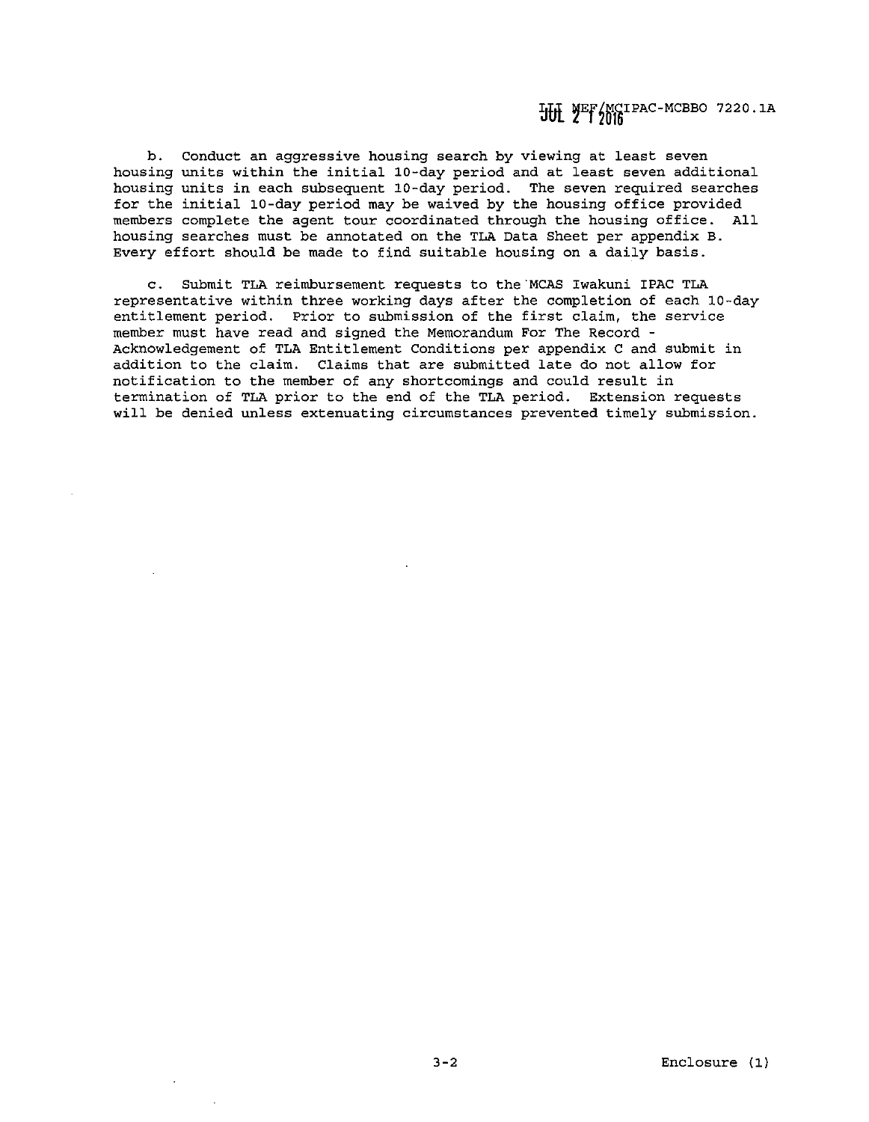HH YEF/MCIPAC-MCBBO 7220.1A

**b. Conduct an aggressive housing search by viewing at least seven**  housing units within the initial 10-day period and at least seven additional housing units in each subsequent 10-day period. The seven required searches for the initial 10-day period may be waived by the housing office provided members complete the agent tour coordinated through the housing office. All housing searches must be annotated on the TLA Data Sheet per appendix B. Every effort should be made to find suitable housing on a daily basis.

c. Submit TLA reimbursement requests to the'MCAS Iwakuni !PAC TLA representative within three working days after the completion of each 10-day entitlement period. Prior to submission of the first claim, the service member must have read and signed the Memorandum For The Record - Acknowledgement of TLA Entitlement Conditions per appendix C and submit in addition to the claim. Claims that are submitted late do not allow for **notification to the member of any shortcomings and could result in**  termination of TLA prior to the end of the TLA period. Extension requests **will be denied unless extenuating circumstances prevented timely submission.**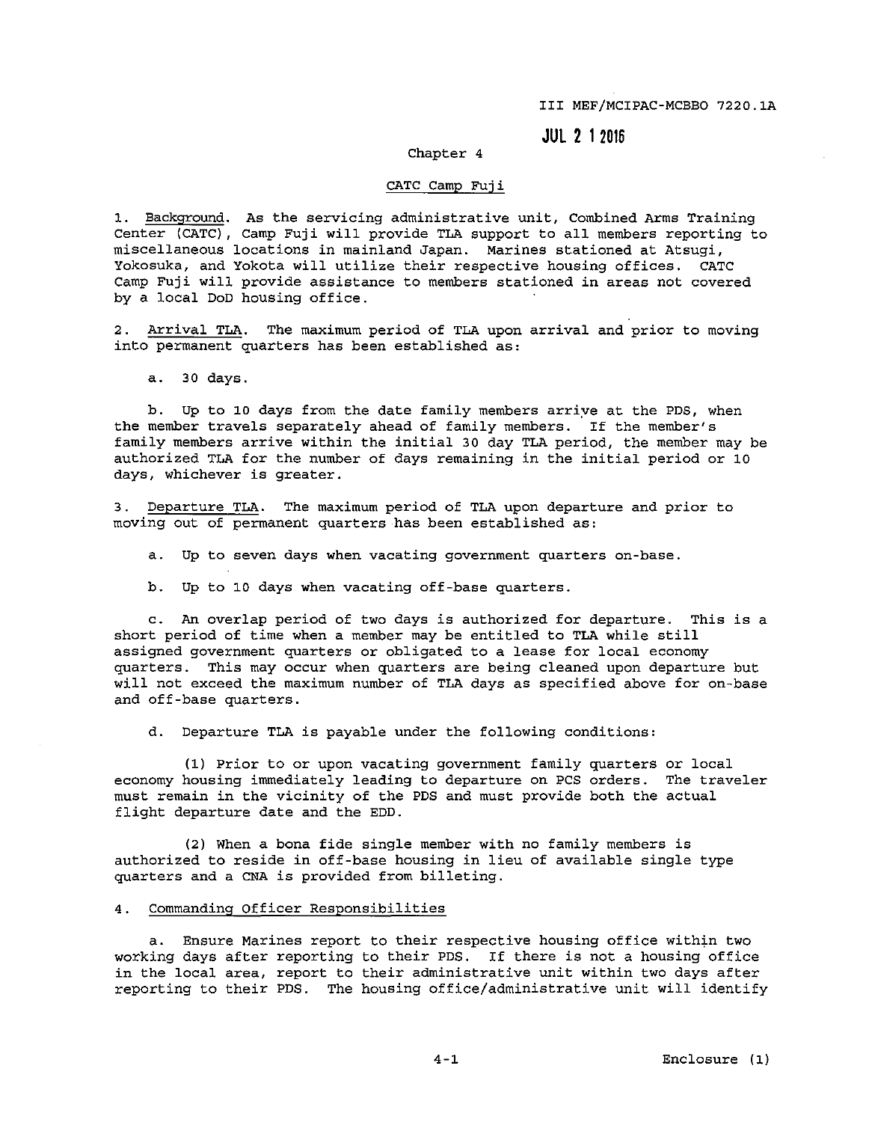III MEF/MCIPAC-MCBBO 7220.lA

**JUL 2 1 2016** 

# Chapter 4

### CATC Camp Fuji

**1. Background. As the servicing administrative unit, Combined Arms Training**  Center (CATC), Camp Fuji will provide TLA support to all members reporting to **miscellaneous locations in mainland Japan. Marines stationed at Atsugi,**  Yokosuka, and Yokota will utilize their respective housing offices. CATC **Camp Fuji will provide assistance to members stationed in areas not covered**  by a local DoD housing office.

**2. Arrival TLA. The maximum period of TLA upon arrival and prior to moving**  into permanent quarters has been established as:

a. 30 days.

b. Up to 10 days from the date family members arrive at the PDS, when the member travels separately ahead of family members. If the member's family members arrive within the initial 30 day TLA period, the member may be authorized TLA for the number of days remaining in the initial period or 10 **days, whichever is greater.** 

3. Departure TLA. The maximum period of TLA upon departure and prior to moving out of permanent quarters has been established as:

**a. Up to seven days when vacating government quarters on-base.** 

b. Up to 10 days when vacating off-base quarters.

c. An overlap period of two days is authorized for departure. This is a short period of time when a member may be entitled to TLA while still assigned government quarters or obligated to a lease for local economy quarters. This may occur when quarters are being cleaned upon departure but will not exceed the maximum number of TLA days as specified above for on-base and off-base quarters.

d. Departure TLA is payable under the following conditions:

(1) Prior to or upon vacating government family quarters or local economy housing immediately leading to departure on PCS orders. **The traveler must remain in the vicinity of the PDS and must provide both the**  actual flight departure date and the EDD.

(2) When a bona fide single member with no family members is authorized to reside in off-base housing in lieu of available single type quarters and a CNA is provided from billeting.

### **4. Commanding Officer Responsibilities**

**a.** Ensure Marines report to their respective housing office within two working days after reporting to their PDS. If there is not a housing office **in the local area, report to their administrative unit within two days after**  reporting to their PDS. The housing office/administrative unit will identify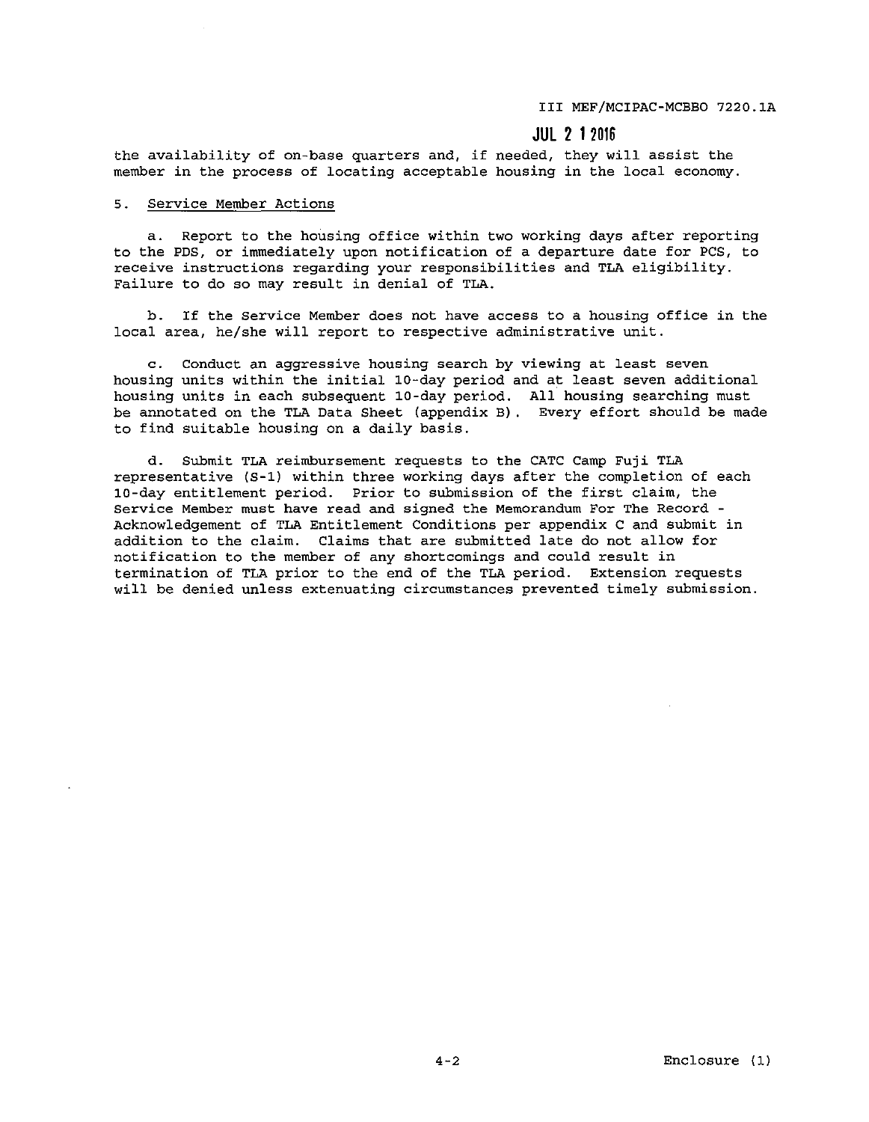III MEF/MCIPAC-MCBBO 7220.lA

# **JUL 2 1 2016**

**the availability of on-base quarters and, if needed, they will assist the**  member in the process of locating acceptable housing in the local economy.

# **5. Service Member Actions**

a. Report to the housing office within two working days after reporting to the PDS, or immediately upon notification of a departure date for PCS, to **receive instructions regarding your responsibilities and TLA eligibility. Failure to do so may result in denial of TLA.** 

b. If the Service Member does not have access to a housing office in the local area, he/she will report to respective administrative unit.

**c. Conduct an aggressive housing search by viewing at least seven**  housing units within the initial 10-day period and at least seven additional housing units in each subsequent 10-day period. All housing searching must be annotated on the TLA Data Sheet (appendix B) . Every effort should be made to find suitable housing on a daily basis.

d. Submit TLA reimbursement requests to the CATC Camp Fuji TLA representative (S-1) within three working days after the completion of each 10-day entitlement period. Prior to submission of the first claim, the **Service Member must have read and signed the Memorandum For The Record** - Acknowledgement of TLA Entitlement Conditions per appendix C and submit in addition to the claim. Claims that are submitted late do not allow for notification to the member of any shortcomings and could result in termination of TLA prior to the end of the TLA period. Extension requests **will be denied unless extenuating circumstances prevented timely submission.**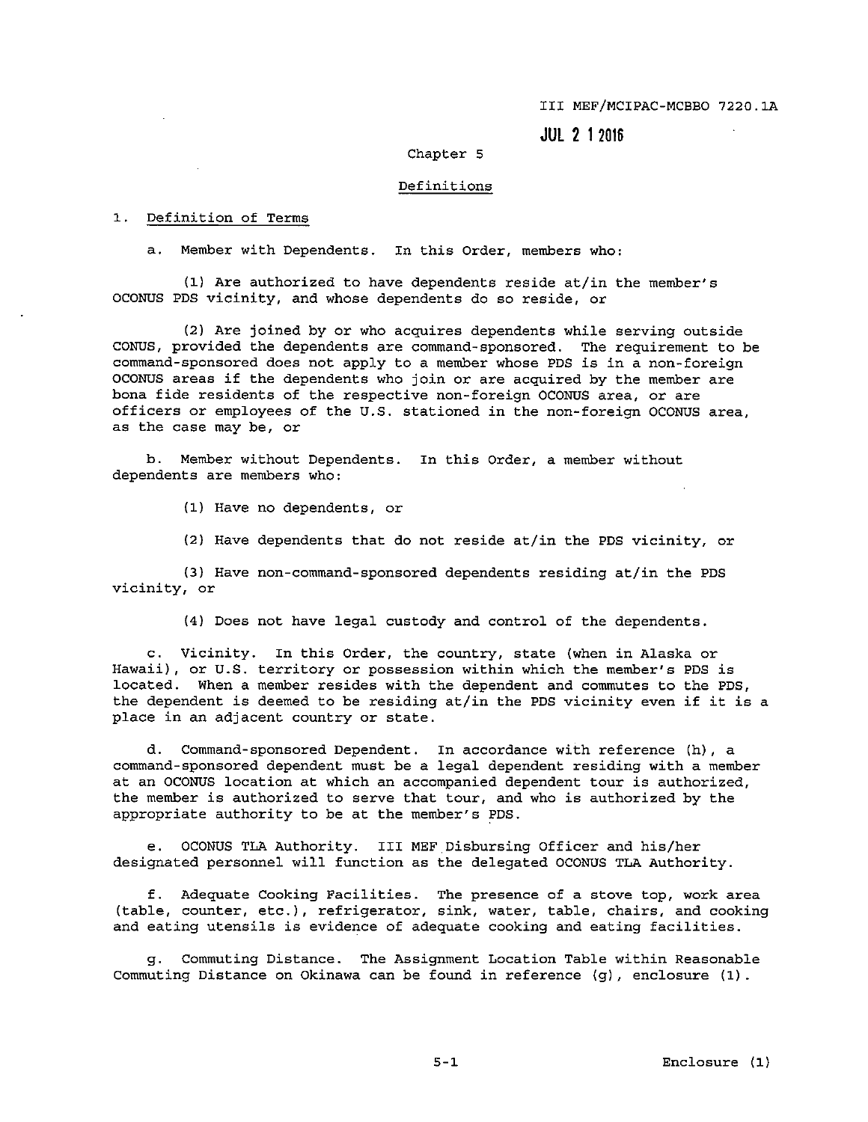**JUL 2 I 2016** 

## Chapter 5

## **Definitions**

# 1. Definition of Terms

**a. Member with Dependents. In this Order, members who:** 

(1) Are authorized to have dependents reside at/in the member's OCONUS PDS vicinity, and whose dependents do so reside, or

(2) Are joined by or who acquires dependents while serving outside CONUS, provided the dependents are command-sponsored. The requirement to be command-sponsored does not apply to a member whose PDS is in a non-foreign OCONUS areas if the dependents who join or are acquired by the member are **bona fide residents of the respective non-foreign OCONUS area, or are**  officers or employees of the U.S. stationed in the non-foreign OCONUS area, **as the case may be, or** 

**b. Member without Dependents. In this Order, a member without dependents are members who:** 

(1) Have no dependents, or

(2) Have dependents that do not reside at/in the PDS vicinity, or

(3) Have non-command-sponsored dependents residing at/in the PDS **vicinity, or** 

(4) Does not have legal custody and control of the dependents.

**c. Vicinity. In this Order, the country, state (when in Alaska or Hawaii), or U.S. territory or possession within which the member's PDS is**  located. When a member resides with the dependent and commutes to the PDS, the dependent is deemed to be residing at/in the PDS vicinity even if it is a **place in an adjacent country or state.** 

d. Command-sponsored Dependent. In accordance with reference (h), a command-sponsored dependent must be a legal dependent residing with a member **at an OCONUS location at which an accompanied dependent tour is authorized,**  the member is authorized to serve that tour, and who is authorized by the appropriate authority to be at the member's PDS.

e. OCONUS TLA Authority. III MEF Disbursing Officer and his/her designated personnel will function as the delegated OCONUS TLA Authority.

**f. Adequate Cooking Facilities. The presence of a stove top, work area (table, counter, etc.), refrigerator, sink, water, table, chairs, and cooking**  and eating utensils is evidence of adequate cooking and eating facilities.

**g. Commuting Distance. The Assignment Location Table within Reasonable**  Commuting Distance on Okinawa can be found in reference (g), enclosure (1).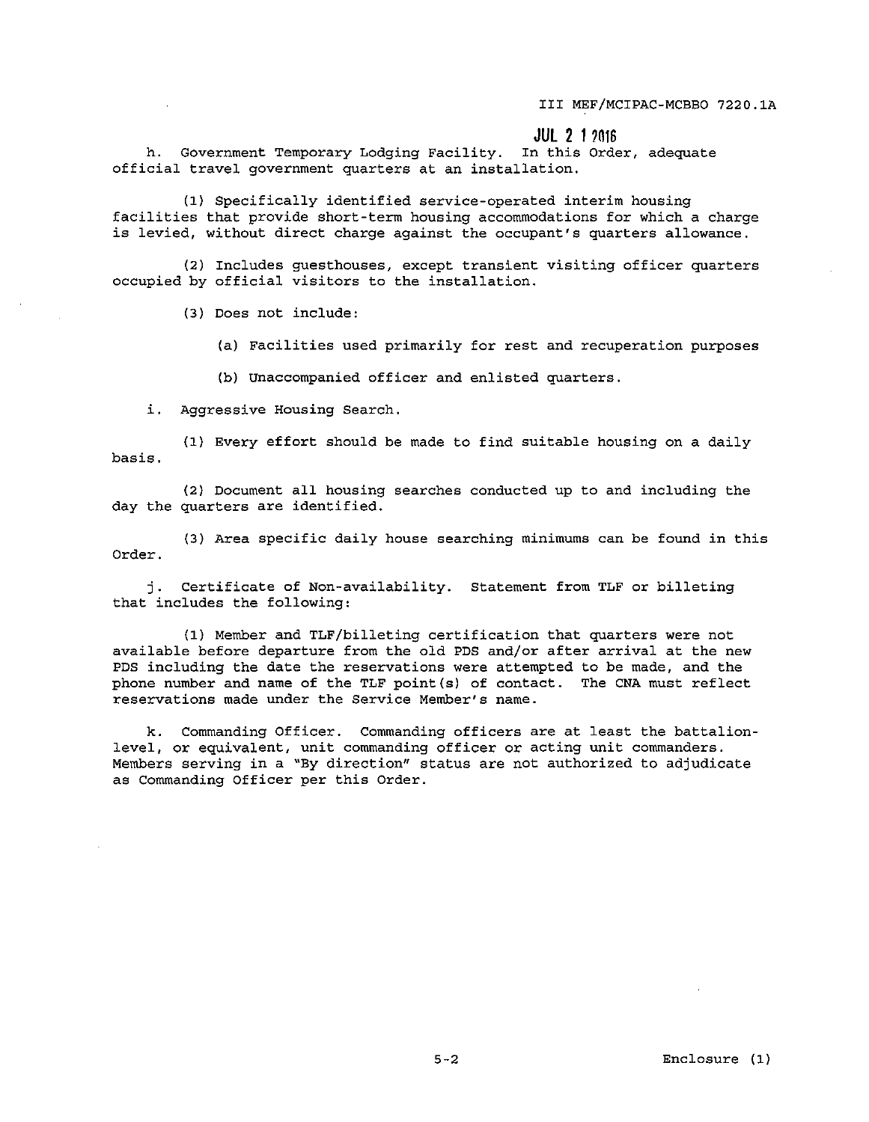**JUL** 2 1 ?016

**h. Government Temporary Lodging Facility. In this Order, adequate official travel government quarters at an installation.** 

(1) Specifically identified service-operated interim housing facilities that provide short-term housing accommodations for which a charge **is levied, without direct charge against the occupant's quarters allowance.** 

**(2) Includes guesthouses, except transient visiting officer quarters**  occupied by official visitors to the installation.

(3) Does not include:

(a) Facilities used primarily for rest and recuperation purposes

(b) unaccompanied officer and enlisted quarters.

**i. Aggressive Housing Search.** 

(1) Every effort should be made to find suitable housing on a daily **basis.** 

(2) Document all housing searches conducted up to and including the day the quarters are identified.

(3) Area specific daily house searching minimums can be found in this Order.

j. Certificate of Non-availability. Statement from TLF or billeting that includes the following:

(1) Member and TLF/billeting certification that quarters were not available before departure from the old PDS and/or after arrival at the new PDS including the date the reservations were attempted to be made, and the phone number and name of the TLF point(s) of contact. The CNA must reflect **reservations made under the Service Member's name.** 

k. Commanding Officer. Commanding officers are at least the battalion**level, or equivalent, unit commanding officer or acting unit commanders. Members serving in a "By direction11 status are not authorized to adjudicate**  as Commanding Officer per this Order.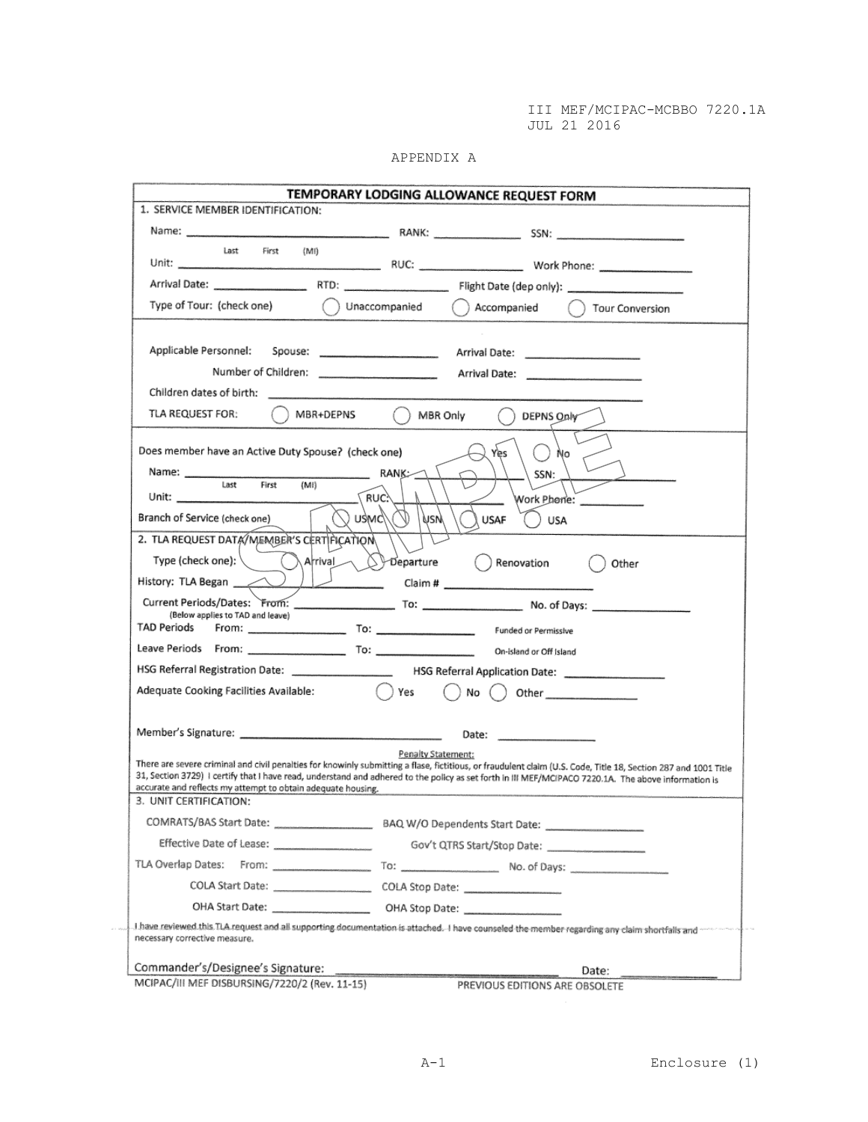| ℩<br>N<br>ı<br>ı<br>M<br>. . |  |
|------------------------------|--|
|                              |  |

| Last<br>First<br>(MI)<br>Type of Tour: (check one) ( ) Unaccompanied ( ) Accompanied ( ) Tour Conversion<br>MBR+DEPNS ( ) MBR Only<br>TLA REQUEST FOR:<br>DEPNS Only<br>Does member have an Active Duty Spouse? (check one)<br>Yes<br>Nο<br>$RANK \qquad \qquad$<br>Name: and a series of the series of the series of the series of the series of the series of the series of the series of the series of the series of the series of the series of the series of the series of the series of the<br>SSN:<br>Last<br>(M!)<br>First<br>RUC.<br>Work Phone: ___________<br>$\sqrt{2}$ Meu<br>Branch of Service (check one)<br>nsw<br><b>USAF</b><br>USA<br>2. TLA REQUEST DATA/MEMBER'S CERTIFICATION<br>Type (check one):<br>$\lambda$ Arival $\bigcirc$ Departure $\bigcirc$ Renovation<br>Other<br>History: TLA Began<br>(Below applies to TAD and leave)<br>HSG Referral Registration Date: ________________________ HSG Referral Application Date: _____________________<br>Adequate Cooking Facilities Available: ( ) Yes<br>$\bigcap$ No $\bigcap$ Other<br>Penalty Statement:<br>accurate and reflects my attempt to obtain adequate housing.<br>3. UNIT CERTIFICATION:<br>COMRATS/BAS Start Date:<br>Effective Date of Lease: ____________________<br>COLA Start Date: ____________________<br>COLA Stop Date:<br>I have reviewed this TLA request and all supporting documentation is attached. I have counseled the member regarding any claim shortfalls and<br>necessary corrective measure. | 1. SERVICE MEMBER IDENTIFICATION: |  |  |  | TEMPORARY LODGING ALLOWANCE REQUEST FORM |  |  |  |
|---------------------------------------------------------------------------------------------------------------------------------------------------------------------------------------------------------------------------------------------------------------------------------------------------------------------------------------------------------------------------------------------------------------------------------------------------------------------------------------------------------------------------------------------------------------------------------------------------------------------------------------------------------------------------------------------------------------------------------------------------------------------------------------------------------------------------------------------------------------------------------------------------------------------------------------------------------------------------------------------------------------------------------------------------------------------------------------------------------------------------------------------------------------------------------------------------------------------------------------------------------------------------------------------------------------------------------------------------------------------------------------------------------------------------------------------------------------------------------------------------------|-----------------------------------|--|--|--|------------------------------------------|--|--|--|
| There are severe criminal and civil penalties for knowinly submitting a flase, fictitious, or fraudulent claim (U.S. Code, Title 18, Section 287 and 1001 Title<br>31, Section 3729) I certify that I have read, understand and adhered to the policy as set forth in III MEF/MCIPACO 7220.1A. The above information is                                                                                                                                                                                                                                                                                                                                                                                                                                                                                                                                                                                                                                                                                                                                                                                                                                                                                                                                                                                                                                                                                                                                                                                 |                                   |  |  |  |                                          |  |  |  |
|                                                                                                                                                                                                                                                                                                                                                                                                                                                                                                                                                                                                                                                                                                                                                                                                                                                                                                                                                                                                                                                                                                                                                                                                                                                                                                                                                                                                                                                                                                         |                                   |  |  |  |                                          |  |  |  |
|                                                                                                                                                                                                                                                                                                                                                                                                                                                                                                                                                                                                                                                                                                                                                                                                                                                                                                                                                                                                                                                                                                                                                                                                                                                                                                                                                                                                                                                                                                         |                                   |  |  |  |                                          |  |  |  |
|                                                                                                                                                                                                                                                                                                                                                                                                                                                                                                                                                                                                                                                                                                                                                                                                                                                                                                                                                                                                                                                                                                                                                                                                                                                                                                                                                                                                                                                                                                         |                                   |  |  |  |                                          |  |  |  |
|                                                                                                                                                                                                                                                                                                                                                                                                                                                                                                                                                                                                                                                                                                                                                                                                                                                                                                                                                                                                                                                                                                                                                                                                                                                                                                                                                                                                                                                                                                         |                                   |  |  |  |                                          |  |  |  |
|                                                                                                                                                                                                                                                                                                                                                                                                                                                                                                                                                                                                                                                                                                                                                                                                                                                                                                                                                                                                                                                                                                                                                                                                                                                                                                                                                                                                                                                                                                         |                                   |  |  |  |                                          |  |  |  |
|                                                                                                                                                                                                                                                                                                                                                                                                                                                                                                                                                                                                                                                                                                                                                                                                                                                                                                                                                                                                                                                                                                                                                                                                                                                                                                                                                                                                                                                                                                         |                                   |  |  |  |                                          |  |  |  |
|                                                                                                                                                                                                                                                                                                                                                                                                                                                                                                                                                                                                                                                                                                                                                                                                                                                                                                                                                                                                                                                                                                                                                                                                                                                                                                                                                                                                                                                                                                         |                                   |  |  |  |                                          |  |  |  |
|                                                                                                                                                                                                                                                                                                                                                                                                                                                                                                                                                                                                                                                                                                                                                                                                                                                                                                                                                                                                                                                                                                                                                                                                                                                                                                                                                                                                                                                                                                         |                                   |  |  |  |                                          |  |  |  |
|                                                                                                                                                                                                                                                                                                                                                                                                                                                                                                                                                                                                                                                                                                                                                                                                                                                                                                                                                                                                                                                                                                                                                                                                                                                                                                                                                                                                                                                                                                         |                                   |  |  |  |                                          |  |  |  |
|                                                                                                                                                                                                                                                                                                                                                                                                                                                                                                                                                                                                                                                                                                                                                                                                                                                                                                                                                                                                                                                                                                                                                                                                                                                                                                                                                                                                                                                                                                         |                                   |  |  |  |                                          |  |  |  |
|                                                                                                                                                                                                                                                                                                                                                                                                                                                                                                                                                                                                                                                                                                                                                                                                                                                                                                                                                                                                                                                                                                                                                                                                                                                                                                                                                                                                                                                                                                         |                                   |  |  |  |                                          |  |  |  |
|                                                                                                                                                                                                                                                                                                                                                                                                                                                                                                                                                                                                                                                                                                                                                                                                                                                                                                                                                                                                                                                                                                                                                                                                                                                                                                                                                                                                                                                                                                         |                                   |  |  |  |                                          |  |  |  |
|                                                                                                                                                                                                                                                                                                                                                                                                                                                                                                                                                                                                                                                                                                                                                                                                                                                                                                                                                                                                                                                                                                                                                                                                                                                                                                                                                                                                                                                                                                         |                                   |  |  |  |                                          |  |  |  |
|                                                                                                                                                                                                                                                                                                                                                                                                                                                                                                                                                                                                                                                                                                                                                                                                                                                                                                                                                                                                                                                                                                                                                                                                                                                                                                                                                                                                                                                                                                         |                                   |  |  |  |                                          |  |  |  |
|                                                                                                                                                                                                                                                                                                                                                                                                                                                                                                                                                                                                                                                                                                                                                                                                                                                                                                                                                                                                                                                                                                                                                                                                                                                                                                                                                                                                                                                                                                         |                                   |  |  |  |                                          |  |  |  |
|                                                                                                                                                                                                                                                                                                                                                                                                                                                                                                                                                                                                                                                                                                                                                                                                                                                                                                                                                                                                                                                                                                                                                                                                                                                                                                                                                                                                                                                                                                         |                                   |  |  |  |                                          |  |  |  |
|                                                                                                                                                                                                                                                                                                                                                                                                                                                                                                                                                                                                                                                                                                                                                                                                                                                                                                                                                                                                                                                                                                                                                                                                                                                                                                                                                                                                                                                                                                         |                                   |  |  |  |                                          |  |  |  |
|                                                                                                                                                                                                                                                                                                                                                                                                                                                                                                                                                                                                                                                                                                                                                                                                                                                                                                                                                                                                                                                                                                                                                                                                                                                                                                                                                                                                                                                                                                         |                                   |  |  |  |                                          |  |  |  |
|                                                                                                                                                                                                                                                                                                                                                                                                                                                                                                                                                                                                                                                                                                                                                                                                                                                                                                                                                                                                                                                                                                                                                                                                                                                                                                                                                                                                                                                                                                         |                                   |  |  |  |                                          |  |  |  |
|                                                                                                                                                                                                                                                                                                                                                                                                                                                                                                                                                                                                                                                                                                                                                                                                                                                                                                                                                                                                                                                                                                                                                                                                                                                                                                                                                                                                                                                                                                         |                                   |  |  |  |                                          |  |  |  |
|                                                                                                                                                                                                                                                                                                                                                                                                                                                                                                                                                                                                                                                                                                                                                                                                                                                                                                                                                                                                                                                                                                                                                                                                                                                                                                                                                                                                                                                                                                         |                                   |  |  |  |                                          |  |  |  |
|                                                                                                                                                                                                                                                                                                                                                                                                                                                                                                                                                                                                                                                                                                                                                                                                                                                                                                                                                                                                                                                                                                                                                                                                                                                                                                                                                                                                                                                                                                         |                                   |  |  |  |                                          |  |  |  |
|                                                                                                                                                                                                                                                                                                                                                                                                                                                                                                                                                                                                                                                                                                                                                                                                                                                                                                                                                                                                                                                                                                                                                                                                                                                                                                                                                                                                                                                                                                         |                                   |  |  |  |                                          |  |  |  |
|                                                                                                                                                                                                                                                                                                                                                                                                                                                                                                                                                                                                                                                                                                                                                                                                                                                                                                                                                                                                                                                                                                                                                                                                                                                                                                                                                                                                                                                                                                         |                                   |  |  |  |                                          |  |  |  |
|                                                                                                                                                                                                                                                                                                                                                                                                                                                                                                                                                                                                                                                                                                                                                                                                                                                                                                                                                                                                                                                                                                                                                                                                                                                                                                                                                                                                                                                                                                         |                                   |  |  |  |                                          |  |  |  |
|                                                                                                                                                                                                                                                                                                                                                                                                                                                                                                                                                                                                                                                                                                                                                                                                                                                                                                                                                                                                                                                                                                                                                                                                                                                                                                                                                                                                                                                                                                         |                                   |  |  |  |                                          |  |  |  |
|                                                                                                                                                                                                                                                                                                                                                                                                                                                                                                                                                                                                                                                                                                                                                                                                                                                                                                                                                                                                                                                                                                                                                                                                                                                                                                                                                                                                                                                                                                         |                                   |  |  |  |                                          |  |  |  |
|                                                                                                                                                                                                                                                                                                                                                                                                                                                                                                                                                                                                                                                                                                                                                                                                                                                                                                                                                                                                                                                                                                                                                                                                                                                                                                                                                                                                                                                                                                         |                                   |  |  |  |                                          |  |  |  |
|                                                                                                                                                                                                                                                                                                                                                                                                                                                                                                                                                                                                                                                                                                                                                                                                                                                                                                                                                                                                                                                                                                                                                                                                                                                                                                                                                                                                                                                                                                         |                                   |  |  |  |                                          |  |  |  |
|                                                                                                                                                                                                                                                                                                                                                                                                                                                                                                                                                                                                                                                                                                                                                                                                                                                                                                                                                                                                                                                                                                                                                                                                                                                                                                                                                                                                                                                                                                         |                                   |  |  |  |                                          |  |  |  |
|                                                                                                                                                                                                                                                                                                                                                                                                                                                                                                                                                                                                                                                                                                                                                                                                                                                                                                                                                                                                                                                                                                                                                                                                                                                                                                                                                                                                                                                                                                         |                                   |  |  |  |                                          |  |  |  |
|                                                                                                                                                                                                                                                                                                                                                                                                                                                                                                                                                                                                                                                                                                                                                                                                                                                                                                                                                                                                                                                                                                                                                                                                                                                                                                                                                                                                                                                                                                         |                                   |  |  |  |                                          |  |  |  |
|                                                                                                                                                                                                                                                                                                                                                                                                                                                                                                                                                                                                                                                                                                                                                                                                                                                                                                                                                                                                                                                                                                                                                                                                                                                                                                                                                                                                                                                                                                         |                                   |  |  |  |                                          |  |  |  |
|                                                                                                                                                                                                                                                                                                                                                                                                                                                                                                                                                                                                                                                                                                                                                                                                                                                                                                                                                                                                                                                                                                                                                                                                                                                                                                                                                                                                                                                                                                         |                                   |  |  |  |                                          |  |  |  |
|                                                                                                                                                                                                                                                                                                                                                                                                                                                                                                                                                                                                                                                                                                                                                                                                                                                                                                                                                                                                                                                                                                                                                                                                                                                                                                                                                                                                                                                                                                         |                                   |  |  |  |                                          |  |  |  |
|                                                                                                                                                                                                                                                                                                                                                                                                                                                                                                                                                                                                                                                                                                                                                                                                                                                                                                                                                                                                                                                                                                                                                                                                                                                                                                                                                                                                                                                                                                         |                                   |  |  |  |                                          |  |  |  |
| Commander's/Designee's Signature:<br>Date:                                                                                                                                                                                                                                                                                                                                                                                                                                                                                                                                                                                                                                                                                                                                                                                                                                                                                                                                                                                                                                                                                                                                                                                                                                                                                                                                                                                                                                                              |                                   |  |  |  |                                          |  |  |  |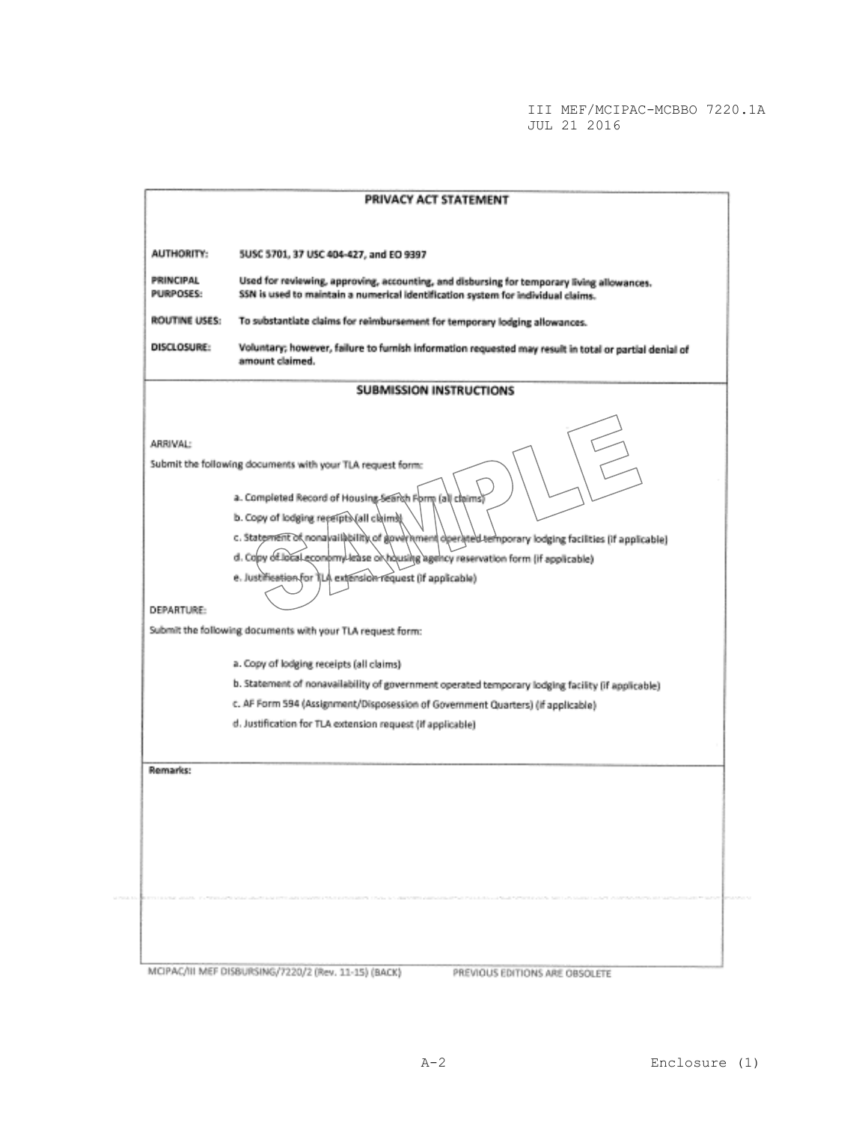| <b>AUTHORITY:</b>      | 5USC 5701, 37 USC 404-427, and EO 9397                                                                                                                                                                     |
|------------------------|------------------------------------------------------------------------------------------------------------------------------------------------------------------------------------------------------------|
| PRINCIPAL<br>PURPOSES: | Used for reviewing, approving, accounting, and disbursing for temporary living allowances.                                                                                                                 |
|                        | SSN is used to maintain a numerical identification system for individual claims.                                                                                                                           |
| ROUTINE USES:          | To substantiate claims for reimbursement for temporary lodging allowances.                                                                                                                                 |
| DISCLOSURE:            | Voluntary; however, failure to furnish information requested may result in total or partial denial of<br>amount claimed.                                                                                   |
|                        | <b>SUBMISSION INSTRUCTIONS</b>                                                                                                                                                                             |
| ARRIVAL:               | Submit the following documents with your TLA request form:                                                                                                                                                 |
|                        | a. Completed Record of Housing Search Form (all claims)<br>b. Copy of lodging receipts (all claims)<br>c. Statement of nonavailability of government operated temporary lodging facilities (if applicable) |
|                        | d. Copy of local economy lease or housing agency reservation form (if applicable)<br>e. Justification for TLA extension request (if applicable)                                                            |
| DEPARTURE:             |                                                                                                                                                                                                            |
|                        | Submit the following documents with your TLA request form:                                                                                                                                                 |
|                        | a. Copy of lodging receipts (all claims)                                                                                                                                                                   |
|                        | b. Statement of nonavailability of government operated temporary lodging facility (if applicable)                                                                                                          |
|                        | c. AF Form 594 (Assignment/Disposession of Government Quarters) (if applicable)<br>d. Justification for TLA extension request (if applicable)                                                              |
|                        |                                                                                                                                                                                                            |
| Remarks:               |                                                                                                                                                                                                            |
|                        |                                                                                                                                                                                                            |
|                        |                                                                                                                                                                                                            |
|                        |                                                                                                                                                                                                            |
|                        |                                                                                                                                                                                                            |
|                        |                                                                                                                                                                                                            |
|                        |                                                                                                                                                                                                            |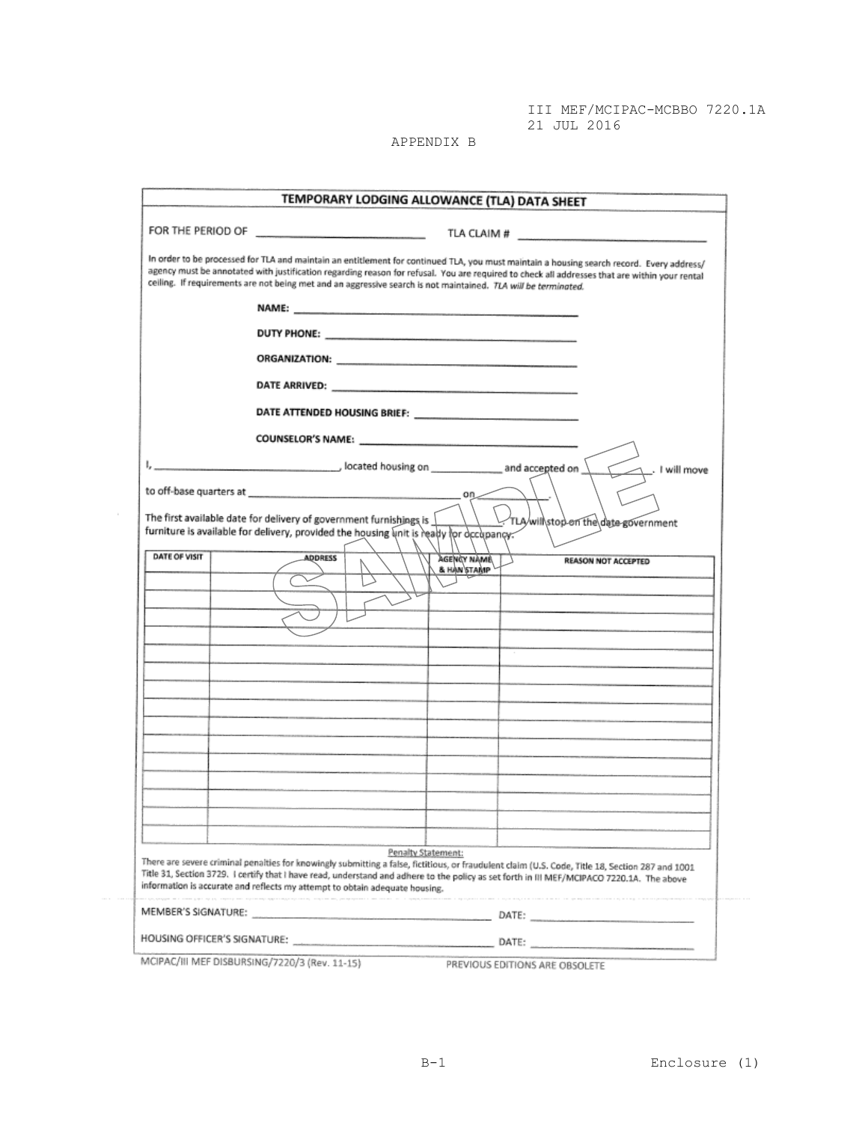III MEF/MCIPAC-MCBBO 7220.1A 21 JUL 2016.................

APPENDIX B

|               | TEMPORARY LODGING ALLOWANCE (TLA) DATA SHEET                                                                                                                                                                                                                                                                                                                                                                 |
|---------------|--------------------------------------------------------------------------------------------------------------------------------------------------------------------------------------------------------------------------------------------------------------------------------------------------------------------------------------------------------------------------------------------------------------|
|               | TLA CLAIM # $\qquad$                                                                                                                                                                                                                                                                                                                                                                                         |
|               | In order to be processed for TLA and maintain an entitiement for continued TLA, you must maintain a housing search record. Every address/<br>agency must be annotated with justification regarding reason for refusal. You are required to check all addresses that are within your rental<br>ceiling. If requirements are not being met and an aggressive search is not maintained. TLA will be terminated. |
|               | NAME: 2008 - 2008 - 2008 - 2008 - 2019 - 2019 - 2019 - 2019 - 2019 - 2019 - 2019 - 2019 - 2019 - 2019 - 2019 - 2019 - 2019 - 2019 - 2019 - 2019 - 2019 - 2019 - 2019 - 2019 - 2019 - 2019 - 2019 - 2019 - 2019 - 2019 - 2019 -                                                                                                                                                                               |
|               |                                                                                                                                                                                                                                                                                                                                                                                                              |
|               |                                                                                                                                                                                                                                                                                                                                                                                                              |
|               |                                                                                                                                                                                                                                                                                                                                                                                                              |
|               |                                                                                                                                                                                                                                                                                                                                                                                                              |
|               |                                                                                                                                                                                                                                                                                                                                                                                                              |
|               | I will move                                                                                                                                                                                                                                                                                                                                                                                                  |
|               |                                                                                                                                                                                                                                                                                                                                                                                                              |
|               | The first available date for delivery of government furnishings is<br>TLA/will\stop on the date government<br>furniture is available for delivery, provided the housing unit is ready for occupancy.                                                                                                                                                                                                         |
| DATE OF VISIT | <b>ADDRESS</b><br><b>AGENCY NAME</b><br><b>REASON NOT ACCEPTED</b><br>& HANSTAMP                                                                                                                                                                                                                                                                                                                             |
|               |                                                                                                                                                                                                                                                                                                                                                                                                              |
|               |                                                                                                                                                                                                                                                                                                                                                                                                              |
|               |                                                                                                                                                                                                                                                                                                                                                                                                              |
|               |                                                                                                                                                                                                                                                                                                                                                                                                              |
|               |                                                                                                                                                                                                                                                                                                                                                                                                              |
|               |                                                                                                                                                                                                                                                                                                                                                                                                              |
|               |                                                                                                                                                                                                                                                                                                                                                                                                              |
|               |                                                                                                                                                                                                                                                                                                                                                                                                              |
|               |                                                                                                                                                                                                                                                                                                                                                                                                              |
|               |                                                                                                                                                                                                                                                                                                                                                                                                              |
|               |                                                                                                                                                                                                                                                                                                                                                                                                              |
|               | Penalty Statement:<br>There are severe criminal penalties for knowingly submitting a false, fictitious, or fraudulent claim (U.S. Code, Title 18, Section 287 and 1001<br>Title 31, Section 3729. I certify that I have read, understand and adhere to the policy as set forth in III MEF/MCIPACO 7220.1A. The above<br>information is accurate and reflects my attempt to obtain adequate housing.          |
|               |                                                                                                                                                                                                                                                                                                                                                                                                              |

MCIPAC/III MEF DISBURSING/7220/3 (Rev. 11-15) PREVIOUS EDITIONS ARE OBSOLETE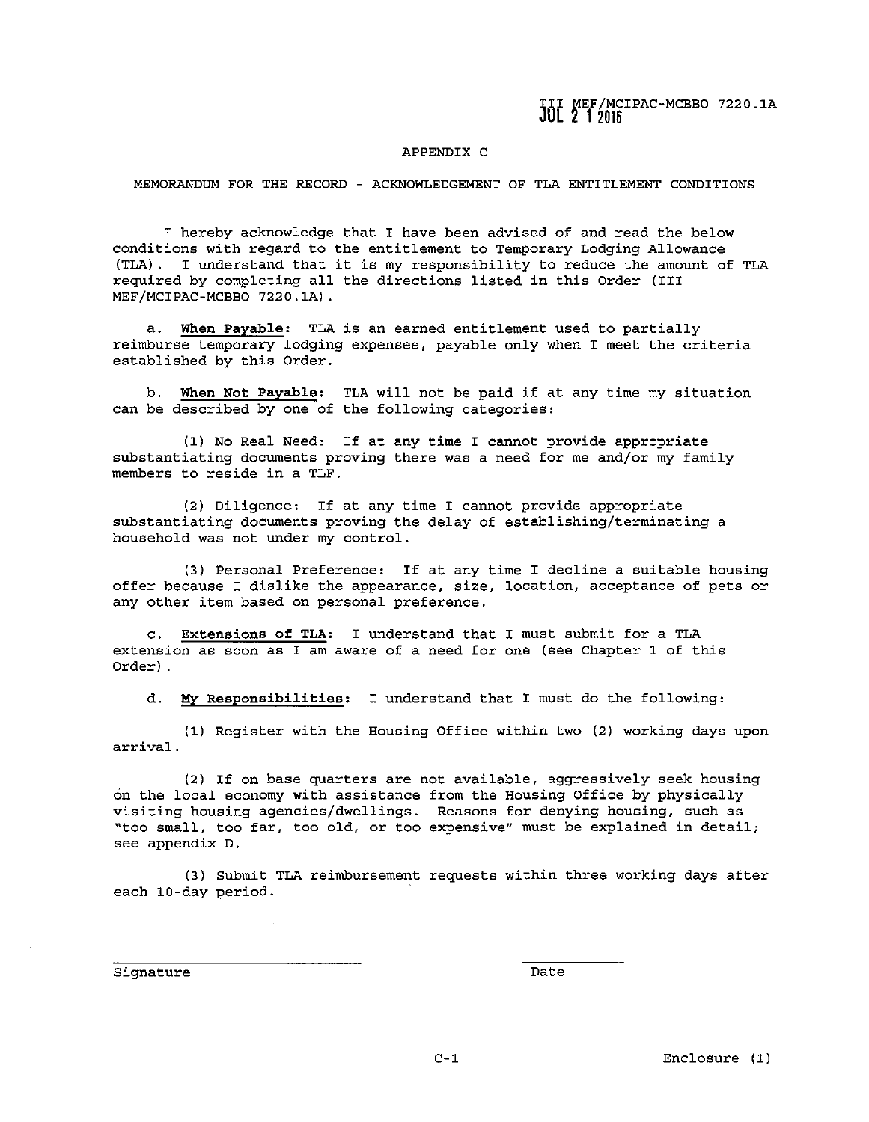# APPENDIX C

MEMORANDUM FOR THE RECORD - ACKNOWLEDGEMENT OF TLA ENTITLEMENT CONDITIONS

I hereby acknowledge that I have been advised of and read the below conditions with regard to the entitlement to Temporary Lodging Allowance (TLA) . I understand that it is *my* responsibility to reduce the amount of TLA required by completing all the directions listed in this Order (III MEF/MCIPAC-MCBBO 7220.lA).

a. **When Payable:** TLA is an earned entitlement used to partially reimburse temporary lodging expenses, payable only when I meet the criteria established by this Order.

b. **When Not Payable:** TLA will not be paid if at any time *my* situation can be described by one of the following categories:

(1) No Real Need: If at any time I cannot provide appropriate substantiating documents proving there was a need for me and/or *my* family **members to reside in a TLF.** 

(2) Diligence: If at any time I cannot provide appropriate substantiating documents proving the delay of establishing/terminating a household was not under *my* control.

(3) Personal Preference: If at any time I decline a suitable housing **offer because I dislike the appearance, size, location, acceptance of pets or any other item based on personal preference.** 

c. **Extensions of TLA:** I understand that I must submit for a TLA **extension as soon as I am aware of a need for one (see Chapter 1 of this**  Order) .

d. **MY Responsibilities:** I understand that I must do the following:

(1) Register with the Housing Office within two (2) working days upon **arrival.** 

(2) If on base quarters are not available, aggressively seek housing on the local economy with assistance from the Housing Office by physically visiting housing agencies/dwellings. Reasons for denying housing, such as **"too small, too far, too old, or too expensive <sup>11</sup>must be explained in detail; see appendix D.** 

(3) Submit TLA reimbursement requests within three working days after each 10-day period.

**Signature** Date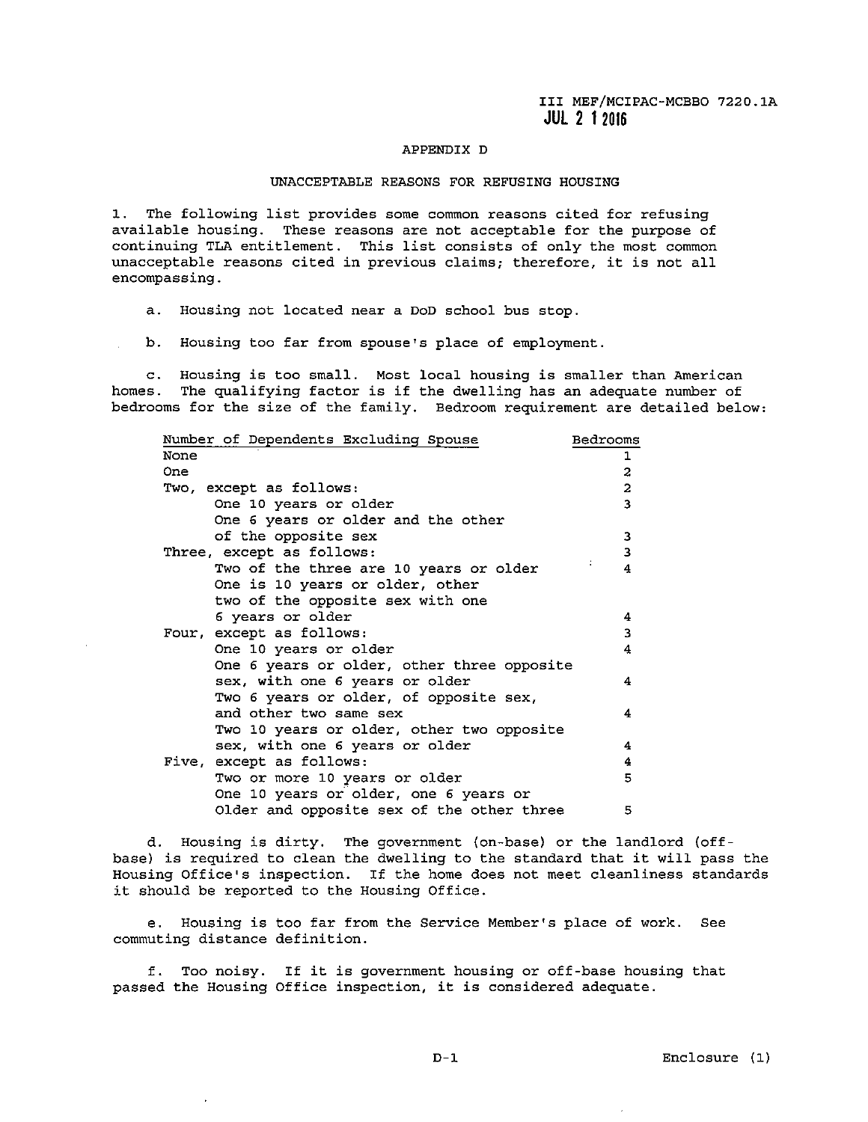# APPENDIX D

### UNACCEPTABLE REASONS FOR REFUSING HOUSING

**1. The following list provides some common reasons cited for refusing**  available housing. These reasons are not acceptable for the purpose of continuing TLA entitlement. This list consists of only the most common **unacceptable reasons cited in previous claims; therefore, it is not all encompassing.** 

a. Housing not located near a DoD school bus stop.

b. Housing too far from spouse's place of employment.

**c. Housing is too small. Most local housing is smaller than American**  homes. The qualifying factor is if the dwelling has an adequate number of bedrooms for the size of the family. Bedroom requirement are detailed below:

| Number of Dependents Excluding Spouse      | Bedrooms                |
|--------------------------------------------|-------------------------|
| None                                       | ı                       |
| One                                        | $\overline{\mathbf{c}}$ |
| Two, except as follows:                    | $\overline{\mathbf{c}}$ |
| One 10 years or older                      | $\overline{\mathbf{3}}$ |
| One 6 years or older and the other         |                         |
| of the opposite sex                        | 3                       |
| Three, except as follows:                  | 3                       |
| Two of the three are 10 years or older     | 4                       |
| One is 10 years or older, other            |                         |
| two of the opposite sex with one           |                         |
| 6 years or older                           | 4                       |
| Four, except as follows:                   | 3                       |
| One 10 years or older                      | 4                       |
| One 6 years or older, other three opposite |                         |
| sex, with one 6 years or older             | 4                       |
| Two 6 years or older, of opposite sex,     |                         |
| and other two same sex                     | 4                       |
| Two 10 years or older, other two opposite  |                         |
| sex, with one 6 years or older             | 4                       |
| Five, except as follows:                   | 4                       |
| Two or more 10 years or older              | 5                       |
| One 10 years or older, one 6 years or      |                         |
| Older and opposite sex of the other three  | 5                       |

d. Housing is dirty. The government (on-base) or the landlord (offbase) is required to clean the dwelling to the standard that it will pass the Housing Office's inspection. If the home does not meet cleanliness standards it should be reported to the Housing Office.

**e. Housing is too far from the Service Member's place of work. See commuting distance definition.** 

**f. Too noisy. If it is government housing or off-base housing that passed the Housing Office inspection, it is considered adequate.** 

ä,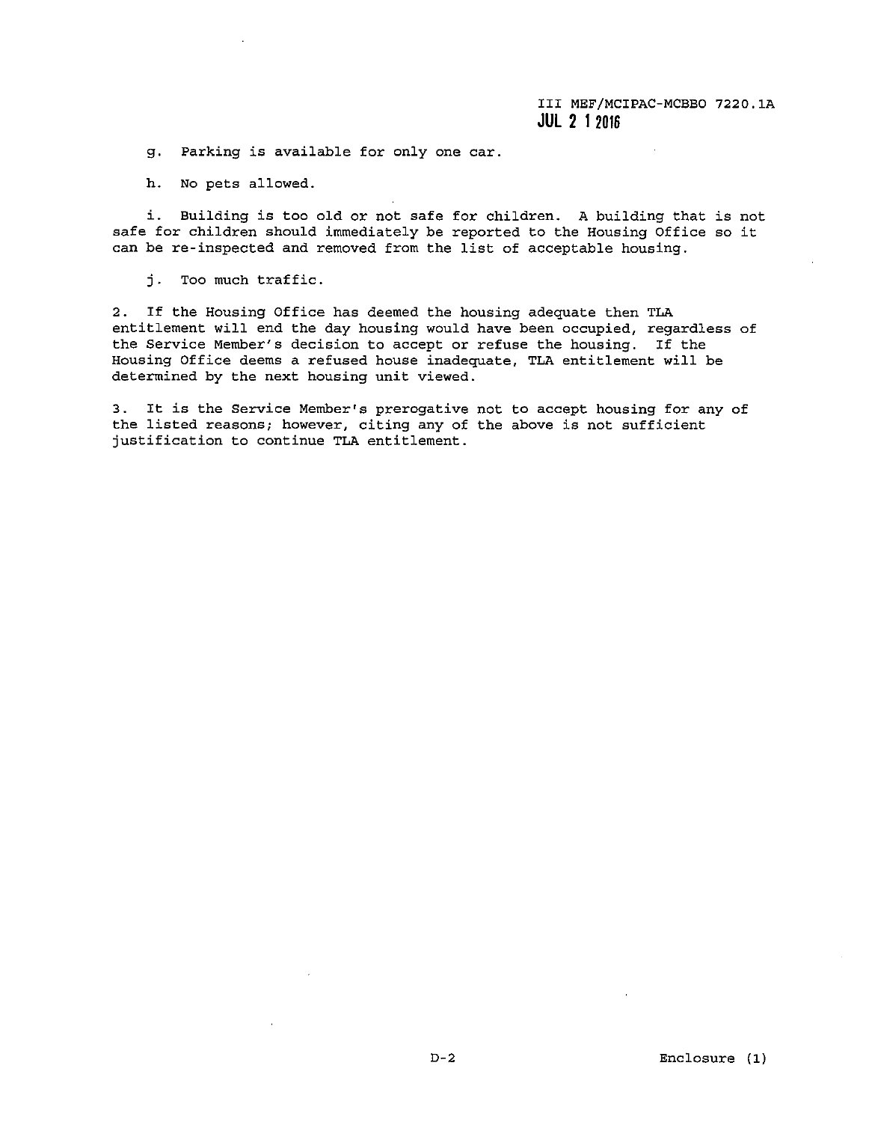g. Parking is available for only one car.

h. No pets allowed.

i. Building is too old or not safe for children. A building that is not safe for children should immediately be reported to the Housing Office so it can be re-inspected and removed from the list of acceptable housing.

j. Too much traffic.

2. If the Housing Office has deemed the housing adequate then TLA entitlement will end the day housing would have been occupied, regardless of **the Service Member's decision to accept or refuse the housing. If the Housing Office deems a refused house inadequate, TLA entitlement will be**  determined by the next housing unit viewed.

**3. It is the Service Member's prerogative not to accept housing for any of the listed reasons; however, citing any of the above is not sufficient justification to continue TLA entitlement.**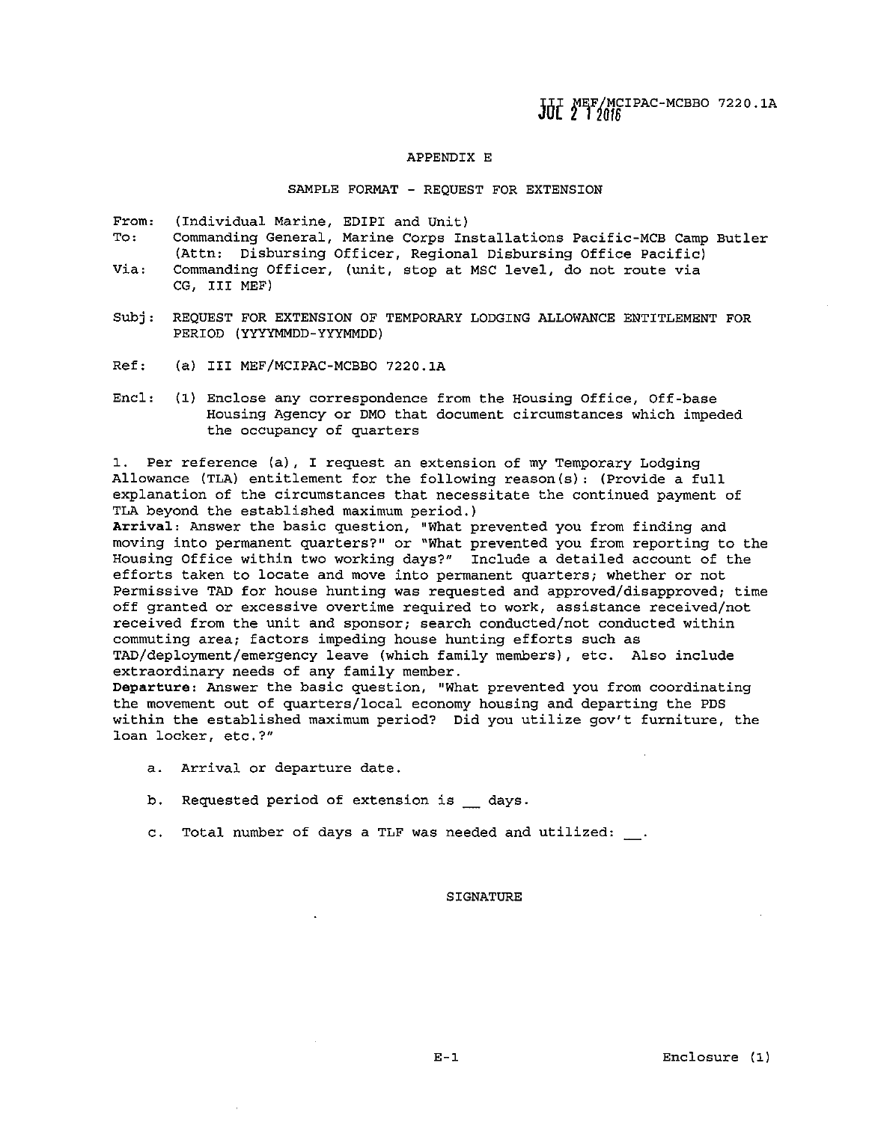JUL MEF/MCIPAC-MCBBO 7220.1A

### APPENDIX E

SAMPLE FORMAT - REQUEST FOR EXTENSION

**From:** (Individual Marine, EDIPI and Unit)

- To: **Via: Commanding General, Marine Corps Installations Pacific-MCB Camp Butler**  (Attn: Disbursing Officer, Regional Disbursing Office Pacific)
- **Commanding Officer, (unit, stop at MSC level, do not route via**  CG, III MEF)
- Subj: REQUEST FOR EXTENSION OF TEMPORARY LODGING ALLOWANCE ENTITLEMENT FOR PERIOD (YYYYMMDD-YYYMMDD)
- Ref: (a) III MEF/MCIPAC-MCBBO 7220. lA
- Encl: (1) Enclose any correspondence from the Housing Office, Off-base Housing Agency or DMO that document circumstances which impeded the occupancy of quarters

**1. Per reference (a), I request an extension of my Temporary Lodging**  Allowance (TLA) entitlement for the following reason(s): (Provide a full explanation of the circumstances that necessitate the continued payment of TLA beyond the established maximum period.)

**Arrival: Answer the basic question, "What prevented you from finding and moving into permanent quarters?" or "What prevented you from reporting to the**  Housing Office within two working days?" Include a detailed account of the **efforts taken to locate and move into permanent quarters; whether or not**  Permissive TAD for house hunting was requested and approved/disapproved; time **off granted or excessive overtime required to work, assistance received/not received from the unit and sponsor; search conducted/not conducted within commuting area; factors impeding house hunting efforts such as**  TAD/deployment/emergency leave (which family members), etc. Also include extraordinary needs of any family member.

**Departure: Answer the basic question, "What prevented you from coordinating**  the movement out of quarters/local economy housing and departing the PDS **within the established maximum period? Did you utilize gov't furniture, the loan locker, etc.?"** 

- **a. Arrival or departure date.**
- b. Requested period of extension is \_ days.
- c. Total number of days a TLF was needed and utilized:

### SIGNATURE